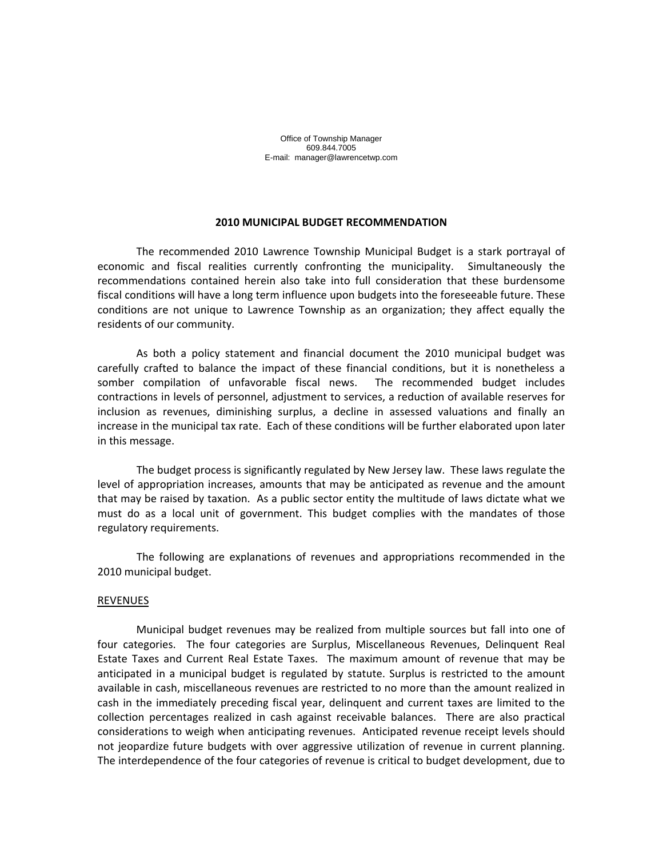Office of Township Manager 609.844.7005 E-mail: manager@lawrencetwp.com

#### **2010 MUNICIPAL BUDGET RECOMMENDATION**

The recommended 2010 Lawrence Township Municipal Budget is a stark portrayal of economic and fiscal realities currently confronting the municipality. Simultaneously the recommendations contained herein also take into full consideration that these burdensome fiscal conditions will have a long term influence upon budgets into the foreseeable future. These conditions are not unique to Lawrence Township as an organization; they affect equally the residents of our community.

As both a policy statement and financial document the 2010 municipal budget was carefully crafted to balance the impact of these financial conditions, but it is nonetheless a somber compilation of unfavorable fiscal news. The recommended budget includes contractions in levels of personnel, adjustment to services, a reduction of available reserves for inclusion as revenues, diminishing surplus, a decline in assessed valuations and finally an increase in the municipal tax rate. Each of these conditions will be further elaborated upon later in this message.

The budget process is significantly regulated by New Jersey law. These laws regulate the level of appropriation increases, amounts that may be anticipated as revenue and the amount that may be raised by taxation. As a public sector entity the multitude of laws dictate what we must do as a local unit of government. This budget complies with the mandates of those regulatory requirements.

The following are explanations of revenues and appropriations recommended in the 2010 municipal budget.

#### **REVENUES**

Municipal budget revenues may be realized from multiple sources but fall into one of four categories. The four categories are Surplus, Miscellaneous Revenues, Delinquent Real Estate Taxes and Current Real Estate Taxes. The maximum amount of revenue that may be anticipated in a municipal budget is regulated by statute. Surplus is restricted to the amount available in cash, miscellaneous revenues are restricted to no more than the amount realized in cash in the immediately preceding fiscal year, delinquent and current taxes are limited to the collection percentages realized in cash against receivable balances. There are also practical considerations to weigh when anticipating revenues. Anticipated revenue receipt levels should not jeopardize future budgets with over aggressive utilization of revenue in current planning. The interdependence of the four categories of revenue is critical to budget development, due to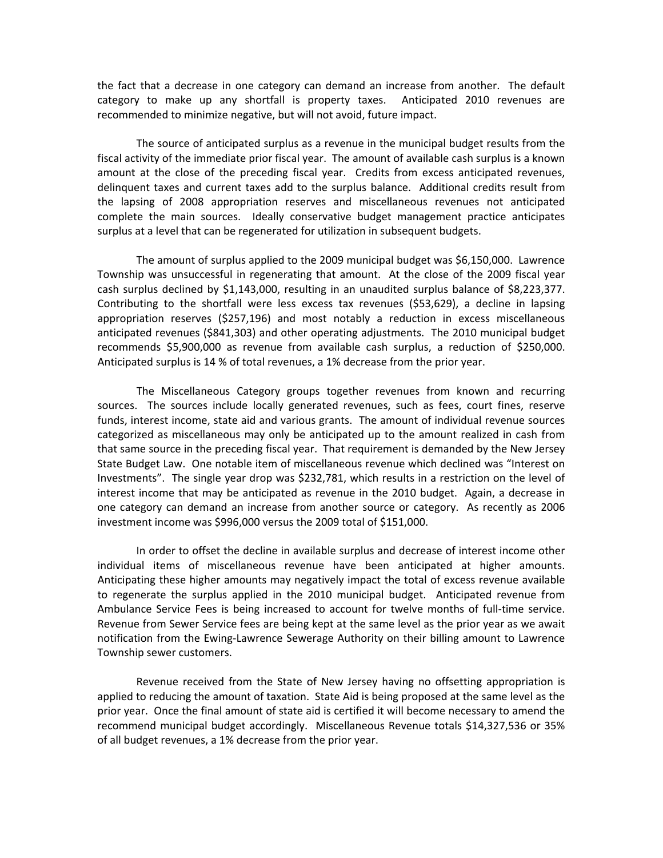the fact that a decrease in one category can demand an increase from another. The default category to make up any shortfall is property taxes. Anticipated 2010 revenues are recommended to minimize negative, but will not avoid, future impact.

The source of anticipated surplus as a revenue in the municipal budget results from the fiscal activity of the immediate prior fiscal year. The amount of available cash surplus is a known amount at the close of the preceding fiscal year. Credits from excess anticipated revenues, delinquent taxes and current taxes add to the surplus balance. Additional credits result from the lapsing of 2008 appropriation reserves and miscellaneous revenues not anticipated complete the main sources. Ideally conservative budget management practice anticipates surplus at a level that can be regenerated for utilization in subsequent budgets.

The amount of surplus applied to the 2009 municipal budget was \$6,150,000. Lawrence Township was unsuccessful in regenerating that amount. At the close of the 2009 fiscal year cash surplus declined by \$1,143,000, resulting in an unaudited surplus balance of \$8,223,377. Contributing to the shortfall were less excess tax revenues (\$53,629), a decline in lapsing appropriation reserves (\$257,196) and most notably a reduction in excess miscellaneous anticipated revenues (\$841,303) and other operating adjustments. The 2010 municipal budget recommends \$5,900,000 as revenue from available cash surplus, a reduction of \$250,000. Anticipated surplus is 14 % of total revenues, a 1% decrease from the prior year.

The Miscellaneous Category groups together revenues from known and recurring sources. The sources include locally generated revenues, such as fees, court fines, reserve funds, interest income, state aid and various grants. The amount of individual revenue sources categorized as miscellaneous may only be anticipated up to the amount realized in cash from that same source in the preceding fiscal year. That requirement is demanded by the New Jersey State Budget Law. One notable item of miscellaneous revenue which declined was "Interest on Investments". The single year drop was \$232,781, which results in a restriction on the level of interest income that may be anticipated as revenue in the 2010 budget. Again, a decrease in one category can demand an increase from another source or category. As recently as 2006 investment income was \$996,000 versus the 2009 total of \$151,000.

In order to offset the decline in available surplus and decrease of interest income other individual items of miscellaneous revenue have been anticipated at higher amounts. Anticipating these higher amounts may negatively impact the total of excess revenue available to regenerate the surplus applied in the 2010 municipal budget. Anticipated revenue from Ambulance Service Fees is being increased to account for twelve months of full‐time service. Revenue from Sewer Service fees are being kept at the same level as the prior year as we await notification from the Ewing‐Lawrence Sewerage Authority on their billing amount to Lawrence Township sewer customers.

Revenue received from the State of New Jersey having no offsetting appropriation is applied to reducing the amount of taxation. State Aid is being proposed at the same level as the prior year. Once the final amount of state aid is certified it will become necessary to amend the recommend municipal budget accordingly. Miscellaneous Revenue totals \$14,327,536 or 35% of all budget revenues, a 1% decrease from the prior year.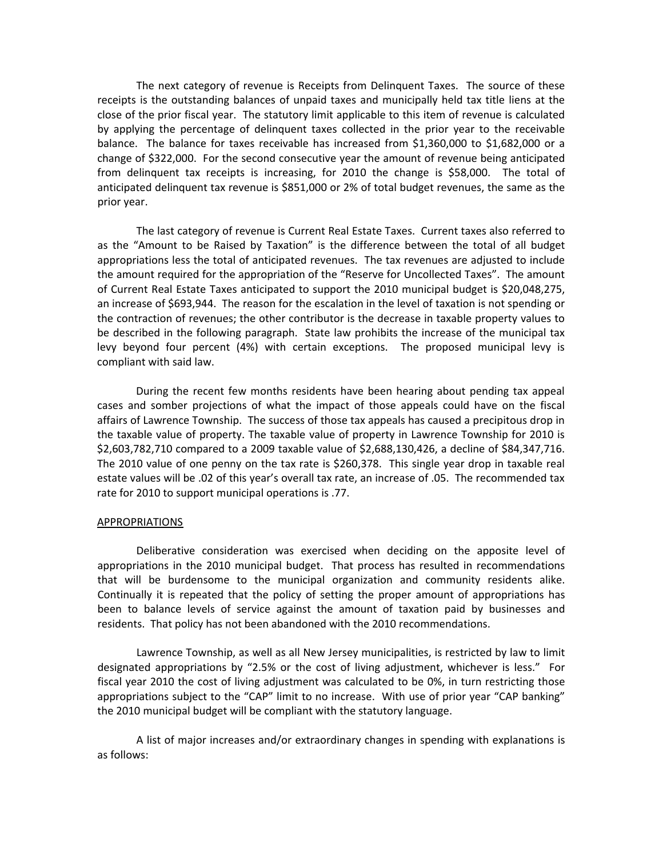The next category of revenue is Receipts from Delinquent Taxes. The source of these receipts is the outstanding balances of unpaid taxes and municipally held tax title liens at the close of the prior fiscal year. The statutory limit applicable to this item of revenue is calculated by applying the percentage of delinquent taxes collected in the prior year to the receivable balance. The balance for taxes receivable has increased from \$1,360,000 to \$1,682,000 or a change of \$322,000. For the second consecutive year the amount of revenue being anticipated from delinquent tax receipts is increasing, for 2010 the change is \$58,000. The total of anticipated delinquent tax revenue is \$851,000 or 2% of total budget revenues, the same as the prior year.

The last category of revenue is Current Real Estate Taxes. Current taxes also referred to as the "Amount to be Raised by Taxation" is the difference between the total of all budget appropriations less the total of anticipated revenues. The tax revenues are adjusted to include the amount required for the appropriation of the "Reserve for Uncollected Taxes". The amount of Current Real Estate Taxes anticipated to support the 2010 municipal budget is \$20,048,275, an increase of \$693,944. The reason for the escalation in the level of taxation is not spending or the contraction of revenues; the other contributor is the decrease in taxable property values to be described in the following paragraph. State law prohibits the increase of the municipal tax levy beyond four percent (4%) with certain exceptions. The proposed municipal levy is compliant with said law.

During the recent few months residents have been hearing about pending tax appeal cases and somber projections of what the impact of those appeals could have on the fiscal affairs of Lawrence Township. The success of those tax appeals has caused a precipitous drop in the taxable value of property. The taxable value of property in Lawrence Township for 2010 is \$2,603,782,710 compared to a 2009 taxable value of \$2,688,130,426, a decline of \$84,347,716. The 2010 value of one penny on the tax rate is \$260,378. This single year drop in taxable real estate values will be .02 of this year's overall tax rate, an increase of .05. The recommended tax rate for 2010 to support municipal operations is .77.

## APPROPRIATIONS

Deliberative consideration was exercised when deciding on the apposite level of appropriations in the 2010 municipal budget. That process has resulted in recommendations that will be burdensome to the municipal organization and community residents alike. Continually it is repeated that the policy of setting the proper amount of appropriations has been to balance levels of service against the amount of taxation paid by businesses and residents. That policy has not been abandoned with the 2010 recommendations.

Lawrence Township, as well as all New Jersey municipalities, is restricted by law to limit designated appropriations by "2.5% or the cost of living adjustment, whichever is less." For fiscal year 2010 the cost of living adjustment was calculated to be 0%, in turn restricting those appropriations subject to the "CAP" limit to no increase. With use of prior year "CAP banking" the 2010 municipal budget will be compliant with the statutory language.

A list of major increases and/or extraordinary changes in spending with explanations is as follows: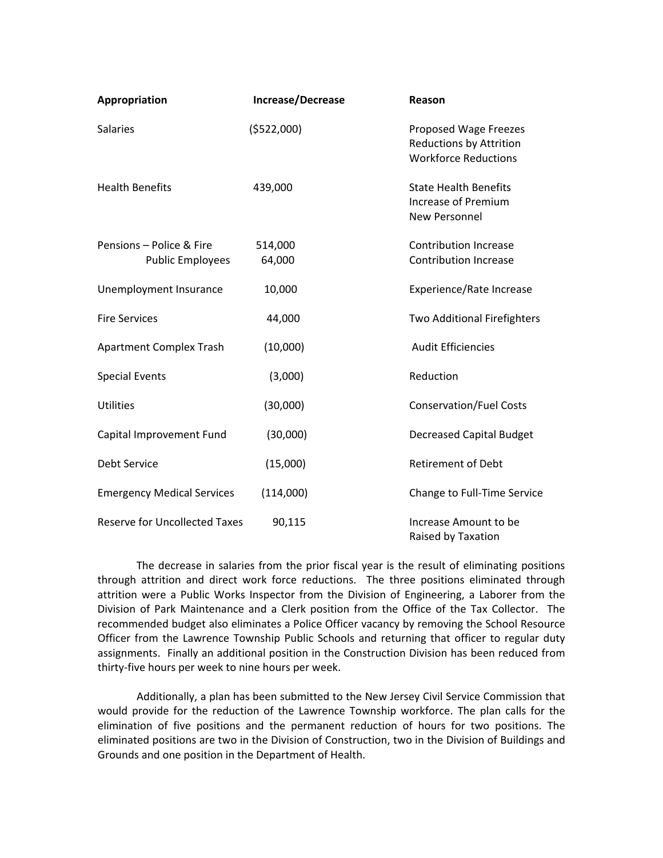| Appropriation                                       | Increase/Decrease | Reason                                                                                 |
|-----------------------------------------------------|-------------------|----------------------------------------------------------------------------------------|
| <b>Salaries</b>                                     | (5522,000)        | Proposed Wage Freezes<br><b>Reductions by Attrition</b><br><b>Workforce Reductions</b> |
| <b>Health Benefits</b>                              | 439,000           | <b>State Health Benefits</b><br>Increase of Premium<br><b>New Personnel</b>            |
| Pensions - Police & Fire<br><b>Public Employees</b> | 514,000<br>64,000 | <b>Contribution Increase</b><br><b>Contribution Increase</b>                           |
| Unemployment Insurance                              | 10,000            | Experience/Rate Increase                                                               |
| <b>Fire Services</b>                                | 44,000            | Two Additional Firefighters                                                            |
| <b>Apartment Complex Trash</b>                      | (10,000)          | <b>Audit Efficiencies</b>                                                              |
| <b>Special Events</b>                               | (3,000)           | Reduction                                                                              |
| Utilities                                           | (30,000)          | <b>Conservation/Fuel Costs</b>                                                         |
| Capital Improvement Fund                            | (30,000)          | <b>Decreased Capital Budget</b>                                                        |
| <b>Debt Service</b>                                 | (15,000)          | <b>Retirement of Debt</b>                                                              |
| <b>Emergency Medical Services</b>                   | (114,000)         | Change to Full-Time Service                                                            |
| <b>Reserve for Uncollected Taxes</b>                | 90,115            | Increase Amount to be<br>Raised by Taxation                                            |

The decrease in salaries from the prior fiscal year is the result of eliminating positions through attrition and direct work force reductions. The three positions eliminated through attrition were a Public Works Inspector from the Division of Engineering, a Laborer from the Division of Park Maintenance and a Clerk position from the Office of the Tax Collector. The recommended budget also eliminates a Police Officer vacancy by removing the School Resource Officer from the Lawrence Township Public Schools and returning that officer to regular duty assignments. Finally an additional position in the Construction Division has been reduced from thirty‐five hours per week to nine hours per week.

Additionally, a plan has been submitted to the New Jersey Civil Service Commission that would provide for the reduction of the Lawrence Township workforce. The plan calls for the elimination of five positions and the permanent reduction of hours for two positions. The eliminated positions are two in the Division of Construction, two in the Division of Buildings and Grounds and one position in the Department of Health.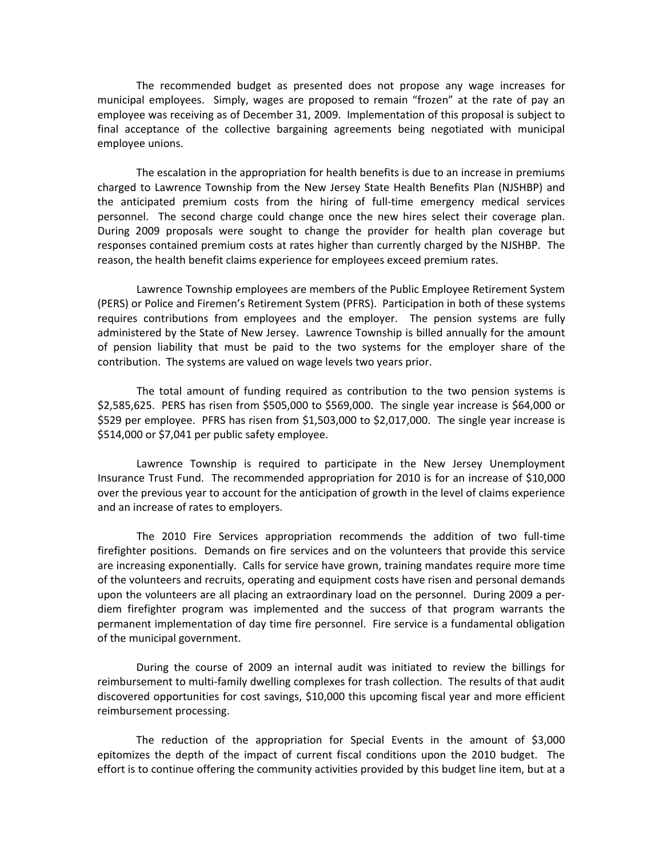The recommended budget as presented does not propose any wage increases for municipal employees. Simply, wages are proposed to remain "frozen" at the rate of pay an employee was receiving as of December 31, 2009. Implementation of this proposal is subject to final acceptance of the collective bargaining agreements being negotiated with municipal employee unions.

The escalation in the appropriation for health benefits is due to an increase in premiums charged to Lawrence Township from the New Jersey State Health Benefits Plan (NJSHBP) and the anticipated premium costs from the hiring of full-time emergency medical services personnel. The second charge could change once the new hires select their coverage plan. During 2009 proposals were sought to change the provider for health plan coverage but responses contained premium costs at rates higher than currently charged by the NJSHBP. The reason, the health benefit claims experience for employees exceed premium rates.

Lawrence Township employees are members of the Public Employee Retirement System (PERS) or Police and Firemen's Retirement System (PFRS). Participation in both of these systems requires contributions from employees and the employer. The pension systems are fully administered by the State of New Jersey. Lawrence Township is billed annually for the amount of pension liability that must be paid to the two systems for the employer share of the contribution. The systems are valued on wage levels two years prior.

The total amount of funding required as contribution to the two pension systems is \$2,585,625. PERS has risen from \$505,000 to \$569,000. The single year increase is \$64,000 or \$529 per employee. PFRS has risen from \$1,503,000 to \$2,017,000. The single year increase is \$514,000 or \$7,041 per public safety employee.

Lawrence Township is required to participate in the New Jersey Unemployment Insurance Trust Fund. The recommended appropriation for 2010 is for an increase of \$10,000 over the previous year to account for the anticipation of growth in the level of claims experience and an increase of rates to employers.

The 2010 Fire Services appropriation recommends the addition of two full‐time firefighter positions. Demands on fire services and on the volunteers that provide this service are increasing exponentially. Calls for service have grown, training mandates require more time of the volunteers and recruits, operating and equipment costs have risen and personal demands upon the volunteers are all placing an extraordinary load on the personnel. During 2009 a per‐ diem firefighter program was implemented and the success of that program warrants the permanent implementation of day time fire personnel. Fire service is a fundamental obligation of the municipal government.

During the course of 2009 an internal audit was initiated to review the billings for reimbursement to multi‐family dwelling complexes for trash collection. The results of that audit discovered opportunities for cost savings, \$10,000 this upcoming fiscal year and more efficient reimbursement processing.

The reduction of the appropriation for Special Events in the amount of \$3,000 epitomizes the depth of the impact of current fiscal conditions upon the 2010 budget. The effort is to continue offering the community activities provided by this budget line item, but at a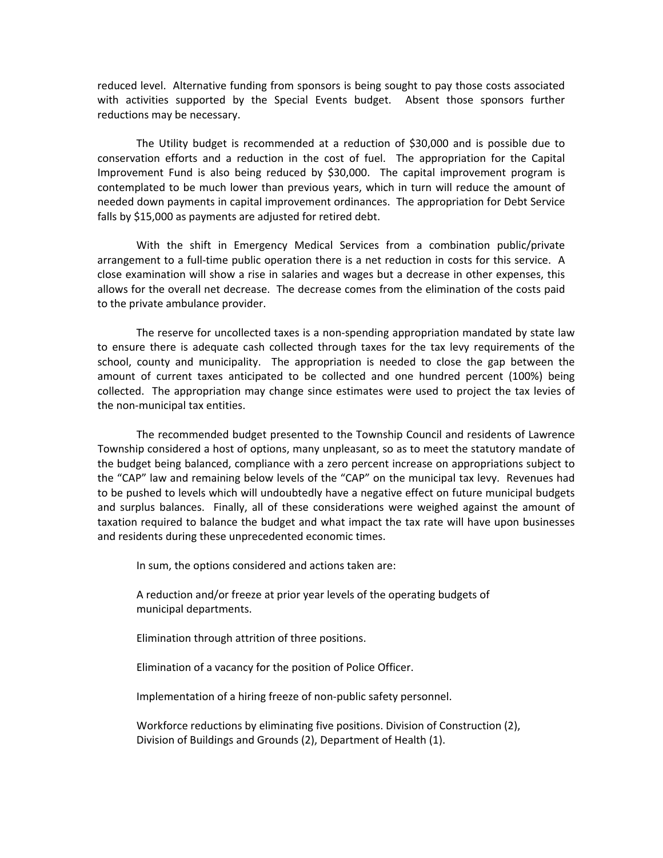reduced level. Alternative funding from sponsors is being sought to pay those costs associated with activities supported by the Special Events budget. Absent those sponsors further reductions may be necessary.

The Utility budget is recommended at a reduction of \$30,000 and is possible due to conservation efforts and a reduction in the cost of fuel. The appropriation for the Capital Improvement Fund is also being reduced by  $$30,000$ . The capital improvement program is contemplated to be much lower than previous years, which in turn will reduce the amount of needed down payments in capital improvement ordinances. The appropriation for Debt Service falls by \$15,000 as payments are adjusted for retired debt.

With the shift in Emergency Medical Services from a combination public/private arrangement to a full‐time public operation there is a net reduction in costs for this service. A close examination will show a rise in salaries and wages but a decrease in other expenses, this allows for the overall net decrease. The decrease comes from the elimination of the costs paid to the private ambulance provider.

The reserve for uncollected taxes is a non-spending appropriation mandated by state law to ensure there is adequate cash collected through taxes for the tax levy requirements of the school, county and municipality. The appropriation is needed to close the gap between the amount of current taxes anticipated to be collected and one hundred percent (100%) being collected. The appropriation may change since estimates were used to project the tax levies of the non‐municipal tax entities.

The recommended budget presented to the Township Council and residents of Lawrence Township considered a host of options, many unpleasant, so as to meet the statutory mandate of the budget being balanced, compliance with a zero percent increase on appropriations subject to the "CAP" law and remaining below levels of the "CAP" on the municipal tax levy. Revenues had to be pushed to levels which will undoubtedly have a negative effect on future municipal budgets and surplus balances. Finally, all of these considerations were weighed against the amount of taxation required to balance the budget and what impact the tax rate will have upon businesses and residents during these unprecedented economic times.

In sum, the options considered and actions taken are:

A reduction and/or freeze at prior year levels of the operating budgets of municipal departments.

Elimination through attrition of three positions.

Elimination of a vacancy for the position of Police Officer.

Implementation of a hiring freeze of non‐public safety personnel.

Workforce reductions by eliminating five positions. Division of Construction (2), Division of Buildings and Grounds (2), Department of Health (1).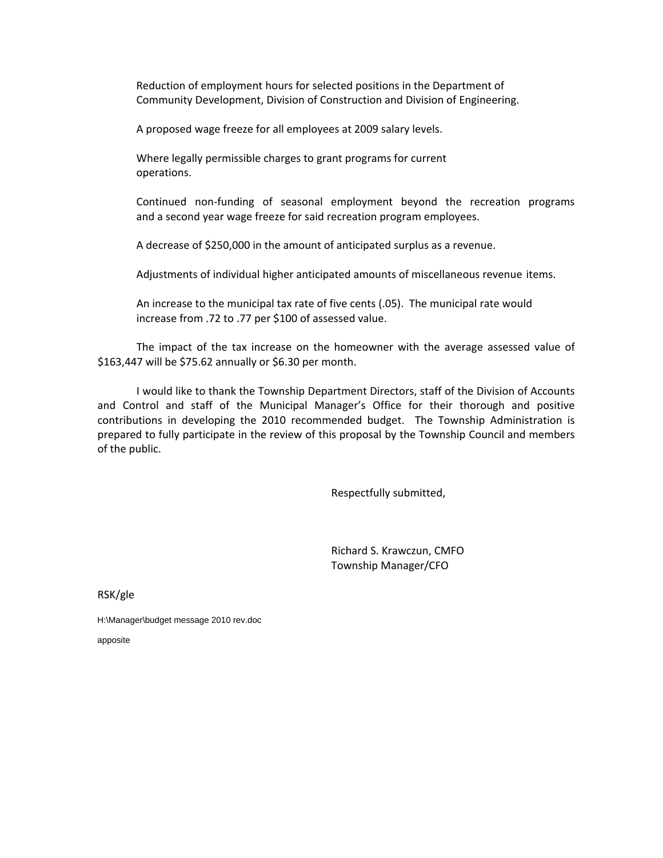Reduction of employment hours for selected positions in the Department of Community Development, Division of Construction and Division of Engineering.

A proposed wage freeze for all employees at 2009 salary levels.

Where legally permissible charges to grant programs for current operations.

Continued non‐funding of seasonal employment beyond the recreation programs and a second year wage freeze for said recreation program employees.

A decrease of \$250,000 in the amount of anticipated surplus as a revenue.

Adjustments of individual higher anticipated amounts of miscellaneous revenue items.

An increase to the municipal tax rate of five cents (.05). The municipal rate would increase from .72 to .77 per \$100 of assessed value.

The impact of the tax increase on the homeowner with the average assessed value of \$163,447 will be \$75.62 annually or \$6.30 per month.

I would like to thank the Township Department Directors, staff of the Division of Accounts and Control and staff of the Municipal Manager's Office for their thorough and positive contributions in developing the 2010 recommended budget. The Township Administration is prepared to fully participate in the review of this proposal by the Township Council and members of the public.

Respectfully submitted,

 Richard S. Krawczun, CMFO Township Manager/CFO

RSK/gle

H:\Manager\budget message 2010 rev.doc

apposite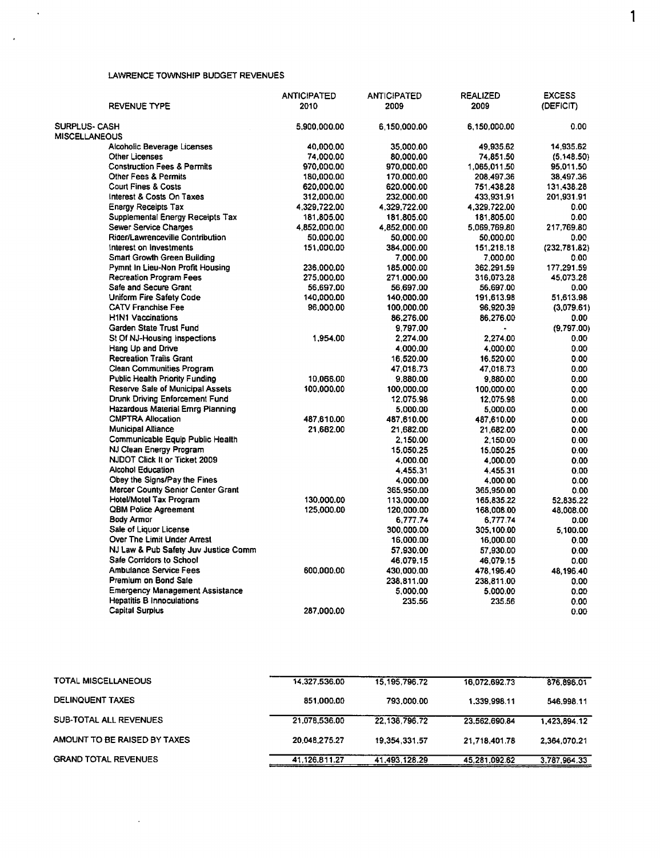#### LAWRENCE TOWNSHIP BUDGET REVENUES

 $\langle \cdot, \cdot \rangle$ 

 $\sim 10^7$ 

|                                         | <b>ANTICIPATED</b> | <b>ANTICIPATED</b> | <b>REALIZED</b> | <b>EXCESS</b> |
|-----------------------------------------|--------------------|--------------------|-----------------|---------------|
| <b>REVENUE TYPE</b>                     | 2010               | 2009               | 2009            | (DEFICIT)     |
| <b>SURPLUS- CASH</b>                    | 5.900.000.00       | 6,150,000.00       | 6.150.000.00    | 0.00          |
| <b>MISCELLANEOUS</b>                    |                    |                    |                 |               |
| Alcoholic Beverage Licenses             | 40,000.00          | 35.000.00          | 49,935.62       | 14,935.62     |
| Other Licenses                          | 74.000.00          | 80.000.00          | 74,851.50       | (5.148.50)    |
| <b>Construction Fees &amp; Permits</b>  | 970,000.00         | 970,000.00         | 1,065,011.50    | 95,011.50     |
| Other Fees & Permits                    | 180,000.00         | 170,000.00         | 208,497.36      | 38,497.36     |
| <b>Court Fines &amp; Costs</b>          | 620.000.00         | 620,000.00         | 751.438.28      | 131,438.28    |
| Interest & Costs On Taxes               | 312,000.00         | 232,000.00         | 433,931.91      | 201,931.91    |
| <b>Energy Receipts Tax</b>              | 4.329.722.00       | 4.329.722.00       | 4,329,722.00    | 0.00          |
| Supplemental Energy Receipts Tax        | 181,805.00         | 181,805.00         | 181,805.00      | 0.00          |
| <b>Sewer Service Charges</b>            | 4,852,000.00       | 4,852,000.00       | 5,069,769.80    | 217,769.80    |
| Rider/Lawrenceville Contribution        | 50,000.00          | 50,000.00          | 50,000.00       | 0.00          |
| Interest on Investments                 | 151,000.00         | 384,000.00         | 151,218.18      | (232, 781.82) |
| <b>Smart Growth Green Building</b>      |                    | 7,000.00           | 7,000.00        | 0.00          |
| Pymnt In Lieu-Non Profit Housing        | 236,000.00         | 185,000.00         | 362,291.59      | 177.291.59    |
| <b>Recreation Program Fees</b>          | 275,000.00         | 271.000.00         | 316.073.28      | 45,073.28     |
| Safe and Secure Grant                   | 56,697.00          | 56,697.00          | 56,697.00       | 0.00          |
| Uniform Fire Safety Code                | 140,000.00         | 140,000.00         | 191,613.98      | 51,613.98     |
| <b>CATV Franchise Fee</b>               | 96,000.00          | 100,000.00         | 96,920.39       | (3,079.61)    |
| <b>H1N1 Vaccinations</b>                |                    | 86,276.00          | 86,276.00       | 0.00          |
| Garden State Trust Fund                 |                    | 9,797.00           |                 | (9,797.00)    |
| St Of NJ-Housing Inspections            | 1,954.00           | 2,274.00           | 2,274.00        | 0.00          |
| Hang Up and Drive                       |                    | 4,000.00           | 4,000.00        | 0.00          |
| <b>Recreation Trails Grant</b>          |                    | 16,520.00          | 16,520.00       | 0.00          |
| Clean Communities Program               |                    | 47,018.73          | 47,018.73       | 0.00          |
| <b>Public Health Priority Funding</b>   | 10,066.00          | 9.880.00           | 9.880.00        | 0.00          |
| Reserve Sale of Municipal Assets        | 100,000,00         | 100,000.00         | 100,000.00      | 0.00          |
| Drunk Driving Enforcement Fund          |                    | 12.075.98          | 12,075.98       | 0.00          |
| <b>Hazardous Material Emrg Planning</b> |                    | 5,000.00           | 5,000.00        | 0.00          |
| <b>CMPTRA Allocation</b>                | 487,610.00         | 487,610.00         | 487.610.00      | 0.00          |
| <b>Municipal Alliance</b>               | 21,682.00          | 21,682.00          | 21,682.00       | 0.00          |
| Communicable Equip Public Health        |                    | 2,150.00           | 2,150.00        | 0.00          |
| NJ Clean Energy Program                 |                    | 15,050.25          | 15.050.25       | 0.00          |
| NJDOT Click It or Ticket 2009           |                    | 4.000.00           | 4,000.00        | 0.00          |
| <b>Alcohol Education</b>                |                    | 4,455,31           | 4.455.31        | 0.00          |
| Obey the Signs/Pay the Fines            |                    | 4,000.00           | 4,000.00        | 0.00          |
| Mercer County Senior Center Grant       |                    | 365,950.00         | 365,950.00      | 0.00          |
| Hotel/Motel Tax Program                 | 130,000.00         | 113,000.00         | 165,835.22      | 52.835.22     |
| QBM Police Agreement                    | 125,000.00         | 120,000.00         | 168,008.00      | 48.008.00     |
| Body Armor                              |                    | 6,777.74           | 6,777.74        | 0.00          |
| Sale of Liquor License                  |                    | 300.000.00         | 305,100.00      | 5.100.00      |
| Over The Limit Under Arrest             |                    | 16,000.00          | 16,000.00       | 0.00          |
| NJ Law & Pub Safety Juv Justice Comm    |                    | 57,930.00          | 57,930.00       | 0.00          |
| Safe Corridors to School                |                    | 46,079.15          | 46,079.15       | 0.00          |
| <b>Ambulance Service Fees</b>           | 600.000.00         | 430,000.00         | 478,196.40      | 48,196.40     |
| Premium on Bond Sale                    |                    | 238,811.00         | 238,811.00      | 0.00          |
| <b>Emergency Management Assistance</b>  |                    | 5,000.00           | 5,000.00        | 0.00          |
| <b>Hepatitis B Innoculations</b>        |                    | 235.56             | 235.56          | 0.00          |
| <b>Capital Surplus</b>                  | 287.000.00         |                    |                 | 0.00.         |

 $\mathbf{1}$ 

| TOTAL MISCELLANEOUS          | 14.327.536.00 | 15, 195, 796, 72 | 16.072.692.73 | 876.896.01   |
|------------------------------|---------------|------------------|---------------|--------------|
|                              |               |                  |               |              |
| DELINQUENT TAXES             | 851.000.00    | 793,000.00       | 1.339.998.11  | 546.998.11   |
|                              |               |                  |               |              |
| SUB-TOTAL ALL REVENUES       | 21.078.536.00 | 22.138.796.72    | 23.562.690.84 | 1.423.894.12 |
| AMOUNT TO BE RAISED BY TAXES | 20.048.275.27 | 19,354,331.57    | 21.718.401.78 | 2.364.070.21 |
| <b>GRAND TOTAL REVENUES</b>  | 41.126.811.27 | 41.493.128.29    | 45.281.092.62 | 3,787,964.33 |

 $\sim 10^{-1}$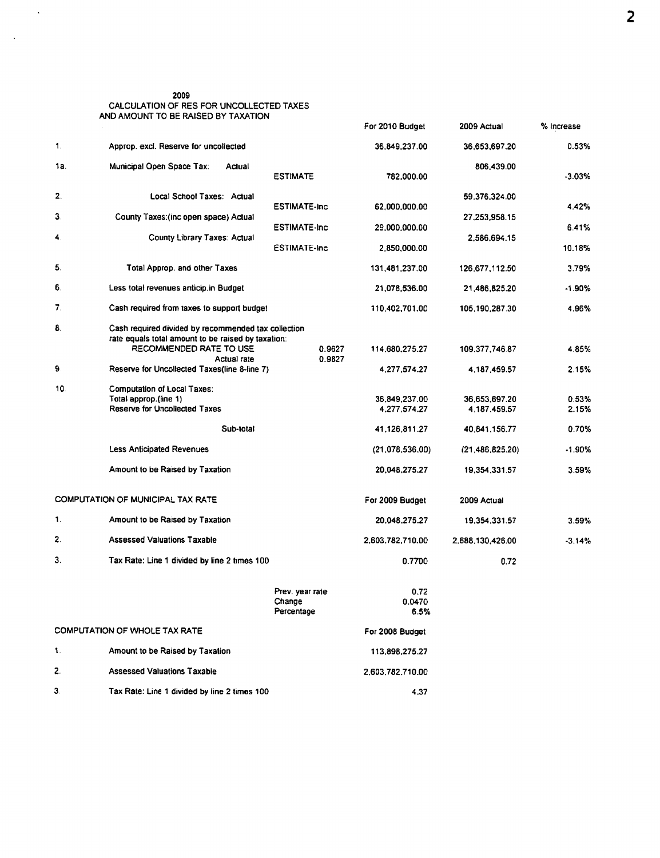# 2009<br>CALCULATION OF RES FOR UNCOLLECTED TAXES<br>AND AMOUNT TO BE RAISED BY TAXATION

 $\mathcal{A}$ 

 $\sim$   $\sim$ 

|     |                                                                                                                                                                                         |                                         | For 2010 Budget                                                                    | 2009 Actual                                                                          | % Increase                                   |
|-----|-----------------------------------------------------------------------------------------------------------------------------------------------------------------------------------------|-----------------------------------------|------------------------------------------------------------------------------------|--------------------------------------------------------------------------------------|----------------------------------------------|
| 1.  | Approp. excl. Reserve for uncollected                                                                                                                                                   |                                         | 36,849,237.00                                                                      | 36,653,697.20                                                                        | 0.53%                                        |
| 1a. | Municipal Open Space Tax:<br>Actual                                                                                                                                                     | <b>ESTIMATE</b>                         | 782.000.00                                                                         | 806,439.00                                                                           | $-3.03%$                                     |
| 2.  | Local School Taxes: Actual                                                                                                                                                              | <b>ESTIMATE-Inc</b>                     | 62,000,000.00                                                                      | 59,376,324.00                                                                        | 4.42%                                        |
| 3.  | County Taxes: (inc open space) Actual                                                                                                                                                   | <b>ESTIMATE-Inc</b>                     | 29,000,000.00                                                                      | 27,253,958.15                                                                        | 6.41%                                        |
| 4.  | County Library Taxes: Actual                                                                                                                                                            | <b>ESTIMATE-Inc</b>                     | 2.850.000.00                                                                       | 2,586,694.15                                                                         | 10.18%                                       |
| 5.  | Total Approp. and other Taxes                                                                                                                                                           |                                         | 131,481,237.00                                                                     | 126.677.112.50                                                                       | 3.79%                                        |
| 6.  | Less total revenues anticip.in Budget                                                                                                                                                   |                                         | 21,078,536.00                                                                      | 21,486,825.20                                                                        | $-1.90\%$                                    |
| 7.  | Cash required from taxes to support budget                                                                                                                                              |                                         | 110,402,701.00                                                                     | 105,190,287.30                                                                       | 4.96%                                        |
| 8.  | Cash required divided by recommended tax collection<br>rate equals total amount to be raised by taxation:<br>RECOMMENDED RATE TO USE                                                    | 0.9627                                  | 114.680.275.27                                                                     | 109.377,746.87                                                                       | 4.85%                                        |
| 9.  | Actual rate<br>Reserve for Uncollected Taxes(line 8-line 7)                                                                                                                             | 0.9827                                  | 4,277,574.27                                                                       | 4,187,459.57                                                                         | 2.15%                                        |
| 10  | <b>Computation of Local Taxes:</b><br>Total approp.(line 1)<br><b>Reserve for Uncollected Taxes</b><br>Sub-total<br><b>Less Anticipated Revenues</b><br>Amount to be Raised by Taxation |                                         | 36.849,237.00<br>4,277,574.27<br>41,126,811.27<br>(21,078,536.00)<br>20,048,275.27 | 36.653,697.20<br>4,187,459.57<br>40.841,156.77<br>(21, 486, 825.20)<br>19,354,331.57 | 0.53%<br>2.15%<br>0.70%<br>$-1.90%$<br>3.59% |
|     | COMPUTATION OF MUNICIPAL TAX RATE                                                                                                                                                       |                                         | For 2009 Budget                                                                    | 2009 Actual                                                                          |                                              |
| 1.  | Amount to be Raised by Taxation                                                                                                                                                         |                                         | 20.048.275.27                                                                      | 19,354,331.57                                                                        | 3.59%                                        |
| 2.  | <b>Assessed Valuations Taxable</b>                                                                                                                                                      |                                         | 2,603,782,710.00                                                                   | 2.688.130.426.00                                                                     | $-3.14%$                                     |
| 3.  | Tax Rate: Line 1 divided by line 2 times 100                                                                                                                                            |                                         | 0.7700                                                                             | 0.72                                                                                 |                                              |
|     |                                                                                                                                                                                         | Prev. year rate<br>Change<br>Percentage | 0.72<br>0.0470<br>6.5%                                                             |                                                                                      |                                              |
|     | COMPUTATION OF WHOLE TAX RATE                                                                                                                                                           |                                         | For 2008 Budget                                                                    |                                                                                      |                                              |
| 1.  | Amount to be Raised by Taxation                                                                                                                                                         |                                         | 113,898,275.27                                                                     |                                                                                      |                                              |
| 2.  | <b>Assessed Valuations Taxable</b>                                                                                                                                                      |                                         | 2.603.782.710.00                                                                   |                                                                                      |                                              |
| З.  | Tax Rate: Line 1 divided by line 2 times 100                                                                                                                                            |                                         | 4.37                                                                               |                                                                                      |                                              |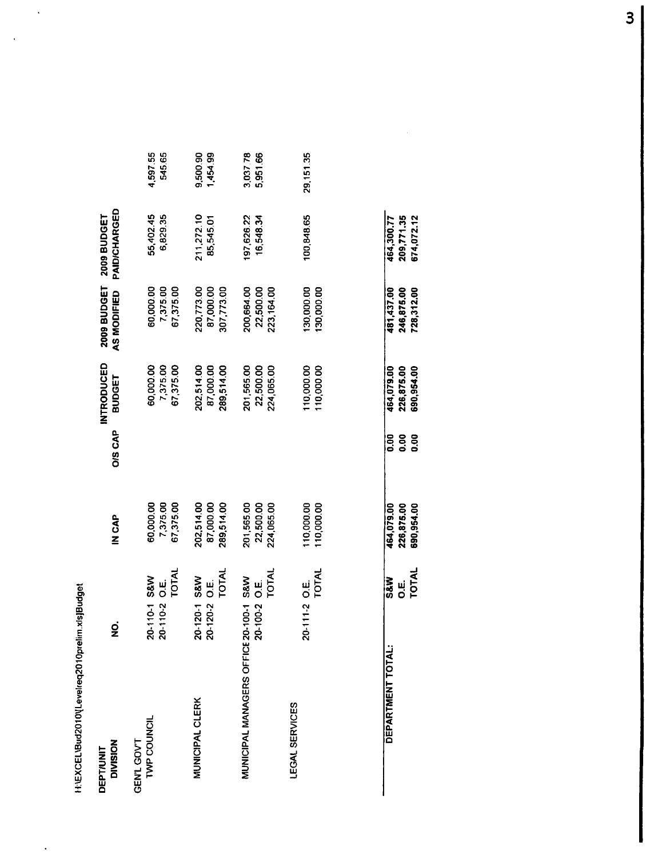H:\EXCEL\Bud2010\[Levelreq2010prelim.xls]Budget

 $\ddot{\phantom{0}}$ 

 $\ddot{\phantom{0}}$ 

 $\hat{\mathcal{A}}$ 

| <b>DIVISION</b><br>DEPT/UNIT           | ġ                                                | <b>IN CAP</b>                         | <b>OIS CAP</b> | INTRODUCED<br>BUDGET                  | 2009 BUDGET<br>AS MODIFIED             | PAID/CHARGED<br>2009 BUDGET |                      |
|----------------------------------------|--------------------------------------------------|---------------------------------------|----------------|---------------------------------------|----------------------------------------|-----------------------------|----------------------|
| TWP COUNCIL<br>GEN'L GOV'T             | TOTAL<br>0-110-1 S&W<br>ui<br>O<br>20-110-2<br>N | 60,000.00<br>7,375.00<br>67,375.00    |                | 60,000.00<br>7,375.00<br>67,375.00    | 60,000.00<br>67,375.00<br>7,375.00     | 55,402.45<br>6,829.35       | 4,597.55<br>545.65   |
| <b>MUNICIPAL CLERK</b>                 | TOTAL<br>0-120-1 S&W<br>20-120-2 O.E.<br>ิ       | 202,514.00<br>87,000.00<br>289,514.00 |                | 202,514.00<br>87,000.00<br>289,514.00 | 220,773.00<br>87,000.00<br>307,773.00  | 211,272.10<br>85,545.01     | 9,500.90<br>1,454.99 |
| MUNICIPAL MANAGERS OFFICE 20-100-1 S&W | <b>TOTAL</b><br>ui<br>O<br>20-100-2              | 201,565.00<br>22,500.00<br>224,065.00 |                | 201,565.00<br>22,500.00<br>224,065.00 | 200,664.00<br>22,500.00<br>223, 164.00 | 197,626.22<br>16,548.34     | 3,037.78<br>5,951.66 |
| LEGAL SERVICES                         | TOTAL<br>20-111-2 O.E.                           | 110,000.00<br>110,000.00              |                | 110,000.00<br>110,000.00              | 130,000.00<br>130,000.00               | 100,848.65                  | 29,151.35            |
| DEPARTMENT TOTAL:                      | S&W                                              | 464,079.00                            | 0.00           | 464,079.00                            | 481,437.00                             | 464,300.77                  |                      |

| ARTMENT TOTA | <b>S&amp;W</b> |                          | 0.00      |                                        |                                        |                                        |
|--------------|----------------|--------------------------|-----------|----------------------------------------|----------------------------------------|----------------------------------------|
|              | $\frac{1}{2}$  | 464,079.00<br>226,875.00 |           | 464,079.00<br>226,875.00<br>690,954.00 | 481,437.00<br>246,875.00<br>728,312.00 | 464,300.77<br>209,771.35<br>674,072.12 |
|              | <b>INTOT</b>   | \$90,954.00              | 8<br>0.00 |                                        |                                        |                                        |
|              |                |                          |           |                                        |                                        |                                        |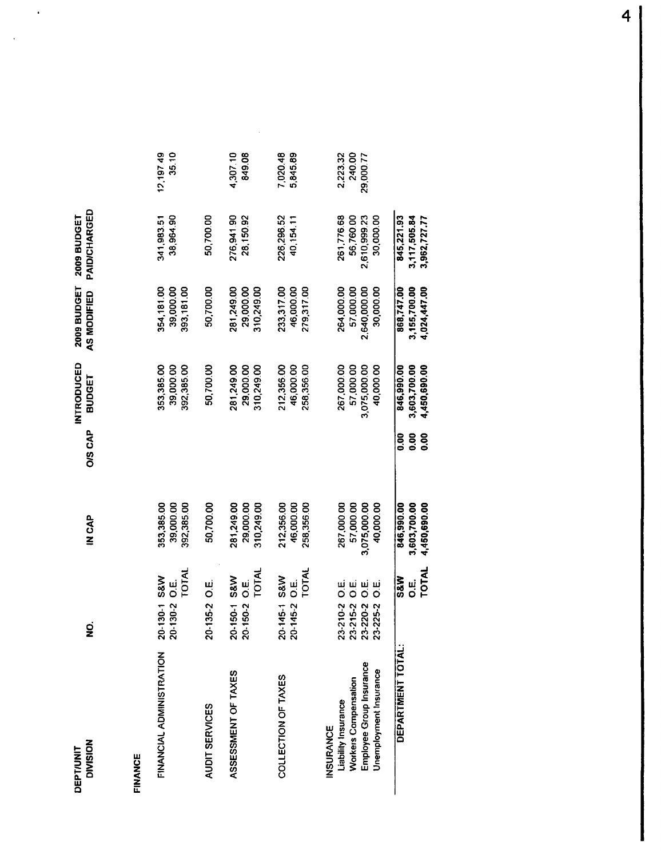2009 BUDGET 2009 BUDGET<br>AS MODIFIED PAID/CHARGED **INTRODUCED**<br>O/S CAP<br>BUDGET IN CAP  $\overline{2}$ **DEPT/UNIT**<br>DIVISION

 $\ddot{\phantom{0}}$ 

 $\ddot{\phantom{0}}$ 

# **FINANCE**

| <b>FINANCIAL ADMINISTRATION</b> | 20-130-1 S&W<br>20-130-2 O.E.                                    | 353,385.00              |             | 353,385.00              | 354,181.00              | 341,983.51              | 12,197.49          |
|---------------------------------|------------------------------------------------------------------|-------------------------|-------------|-------------------------|-------------------------|-------------------------|--------------------|
|                                 | TOTAL                                                            | 39,000.00<br>392,385.00 |             | 39,000.00<br>392,385.00 | 39,000.00<br>393,181.00 | 38,964.90               | 35.10              |
| AUDIT SERVICES                  | 20-135-2 O.E.                                                    | 50.700.00               |             | 50.700.00               | 50,700.00               | 50,700.00               |                    |
| ASSESSMENT OF TAXES             | 20-150-1 S&W<br>20-150-2 O.E.                                    | 281,249.00<br>29,000.00 |             | 281,249.00<br>29,000.00 | 29,000.00<br>281,249.00 | 28,150.92<br>276,941.90 | 4,307.10<br>849.08 |
|                                 | TOTAL                                                            | 310,249.00              |             | 310,249.00              | 310,249.00              |                         |                    |
| COLLECTION OF TAXES             |                                                                  | 212,356.00              |             | 212,35600               | 233,317.00              | 226,296.52              | 7.020.48           |
|                                 | 20-145-1 S&W<br>20-145-2 O.E.                                    | 46.000.00               |             | 46,000.00               | 46.000.00               | 40,154.11               | 5,845.89           |
|                                 | <b>NTOT</b>                                                      | 258,356.00              |             | 258,356.00              | 279,317.00              |                         |                    |
| <b>INSURANCE</b>                |                                                                  |                         |             |                         |                         |                         |                    |
| Liability Insurance             |                                                                  | 267,000.00              |             | 267,000.00              | 264,000.00              | 261,776.68              | 2,223.32           |
| Workers Compensation            |                                                                  | 57,000.00               |             | 57,000.00               | 57,000.00               | 56,760.00               | 240.00             |
| Employee Group Insurance        | 23-210-2 O.E.<br>23-215-2 O.E.<br>23-220-2 O.E.<br>23-225-2 O.E. | 3,075,000.00            |             | 3,075,000.00            | 2,640,000.00            | 2,610,999.23            | 29,000.77          |
| Unemployment Insurance          |                                                                  | 40,000.00               |             | 40,000.00               | 30,000.00               | 30,000.00               |                    |
| DEPARTMENT TOTAL:               | <b>S&amp;W</b>                                                   | 846,990.00              | <b>0.00</b> | 846.990.00              | 868,747.00              | 845.221.93              |                    |
|                                 | ui<br>O                                                          | 3.603,700.00            | 0.00        | 3,603,700.00            | 3,155,700.00            | 3,117,505.84            |                    |
|                                 | TOTAL                                                            | 4,450,690.00            | <b>0.00</b> | 4,450,690.00            | 4,024,447.00            | 3,962,727.77            |                    |

 $\bar{\bar{z}}$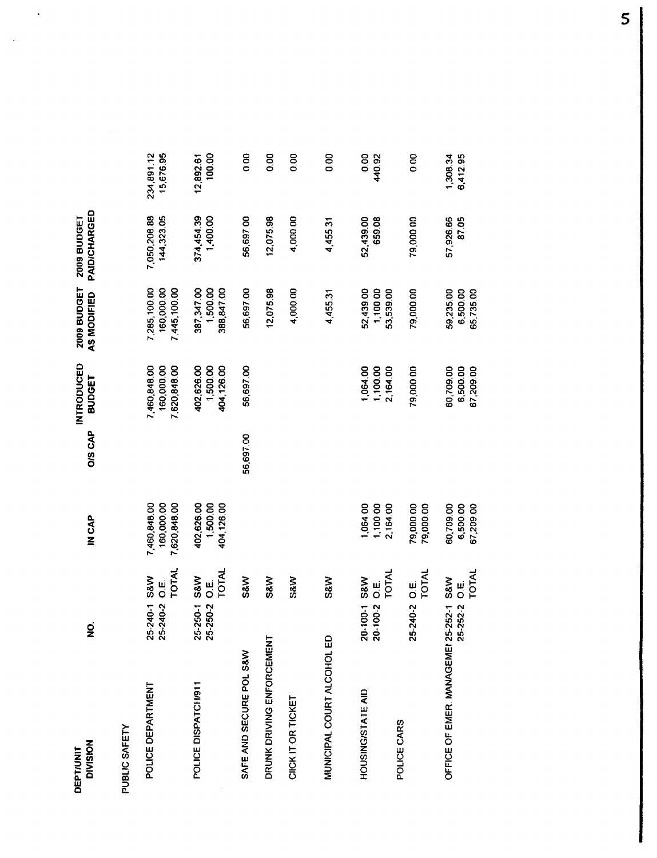| <b>DIVISION</b><br>DEPT/UNIT           | $\overline{Q}$<br>z           |                                | <b>IN CAP</b>                              | <b>O/S CAP</b> | <b>INTRODUCED</b><br>BUDGET                | 2009 BUDGET<br>AS MODIFIED                 | PAID/CHARGED<br>2009 BUDGET |                         |
|----------------------------------------|-------------------------------|--------------------------------|--------------------------------------------|----------------|--------------------------------------------|--------------------------------------------|-----------------------------|-------------------------|
| PUBLIC SAFETY                          |                               |                                |                                            |                |                                            |                                            |                             |                         |
| POLICE DEPARTMENT                      | 25-240-1 S&W<br>25-240-2 O.E. | <b>TOTAL</b>                   | 7,460,848.00<br>160,000.00<br>7,620,848.00 |                | 7,460,848.00<br>160,000.00<br>7,620,848.00 | 7,285,100.00<br>160,000.00<br>7,445,100.00 | 7,050,208.88<br>144,323.05  | 234,891.12<br>15,676.95 |
| POLICE DISPATCH/911                    | 25-250-1<br>25-250-2          | <b>TOTAL</b><br>S&W<br>ui<br>O | 402,626.00<br>1,500.00<br>404,126.00       |                | 402,626.00<br>404,126.00<br>1,500.00       | 387,347.00<br>1,500.00<br>388,847.00       | 374,454.39<br>1,400.00      | 100.00<br>12,892.61     |
| SAFE AND SECURE POL S&W                |                               | S&W                            |                                            | 56,697.00      | 56,697.00                                  | 56,697.00                                  | 56,697.00                   | 0.00                    |
| DRUNK DRIVING ENFORCEMENT              |                               | S&W                            |                                            |                |                                            | 12,075.98                                  | 12,075.98                   | 0.00                    |
| CIICK IT OR TICKET                     |                               | <b>S&amp;W</b>                 |                                            |                |                                            | 4,000.00                                   | 4,000.00                    | 0.00                    |
| MUNICIPAL COURT ALCOHOL ED             |                               | S&W                            |                                            |                |                                            | 4,455.31                                   | 4,455.31                    | 80                      |
| HOUSING/STATE AID                      | 20-100-1                      | TOTAL<br>S&W<br>ui<br>O        | 1,064.00<br>1,100.00<br>2,164.00           |                | 1,064.00<br>1,100.00<br>2,164.00           | 52,439.00<br>1,100.00<br>53,539.00         | 52,439.00<br>659.08         | 80<br>440.92            |
| POLICE CARS                            |                               |                                |                                            |                |                                            |                                            |                             |                         |
|                                        | 25-240-2 O.E.                 | TOTAL                          | 79,000.00<br>79,000.00                     |                | 79,000.00                                  | 79,000.00                                  | 79,000.00                   | 0.00                    |
| OFFICE OF EMER. MANAGEMEI 25-252-1 S&W | 25-252-2                      | ші<br>О                        | 60,709.00<br>6,500.00                      |                | 60,709.00<br>6,500.00                      | 6,500.00<br>59,235.00                      | 87.05<br>57,926.66          | 1,308.34<br>6,412.95    |
|                                        |                               | TOTAL                          | 67,209.00                                  |                | 67,209.00                                  | 65,735.00                                  |                             |                         |

 $\sim$ 

 $\sim$   $\sim$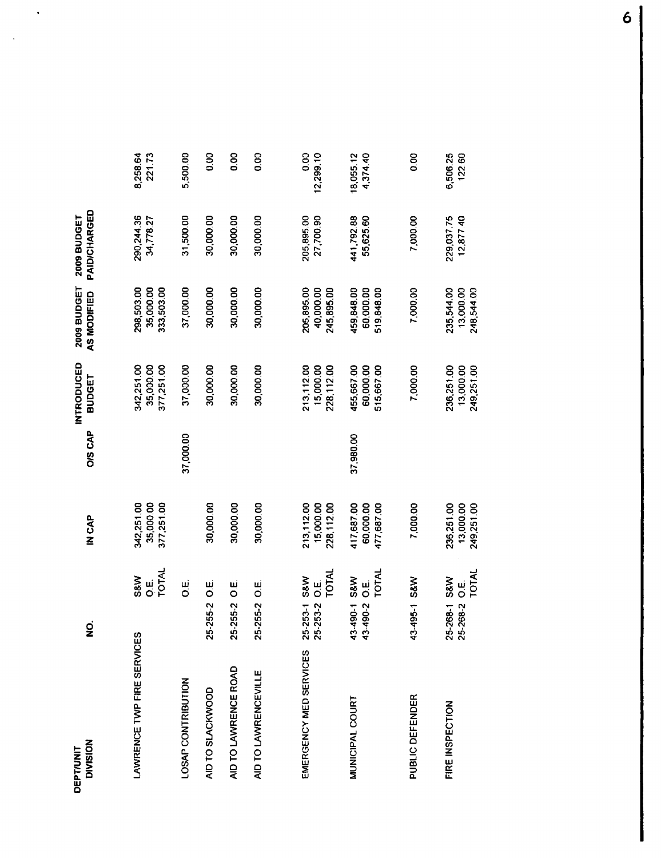| <b>DIVISION</b><br><b>DEPT/UNIT</b> | $\dot{q}$                                                  | <b>IN CAP</b>                         | <b>OIS CAP</b> | INTRODUCED<br><b>BUDGET</b>           | 2009 BUDGET<br>AS MODIFIED            | PAID/CHARGED<br>2009 BUDGET |                       |
|-------------------------------------|------------------------------------------------------------|---------------------------------------|----------------|---------------------------------------|---------------------------------------|-----------------------------|-----------------------|
| LAWRENCE TWP FIRE SERVICES          | TOTAL<br>S&W<br>نا<br>ان                                   | 35,000.00<br>377,251.00<br>342,251.00 |                | 342,251.00<br>35,000.00<br>377,251.00 | 298,503.00<br>35,000.00<br>333,503.00 | 290,244.36<br>34,778.27     | 8,258.64<br>221.73    |
| LOSAP CONTRIBUTION                  | نیا<br>O                                                   |                                       | 37,000.00      | 37,000.00                             | 37,000.00                             | 31,500.00                   | 5,500.00              |
| AID TO SLACKWOOD                    | نیا<br>O<br>25-255-2                                       | 30,000.00                             |                | 30,000.00                             | 30,000.00                             | 30,000.00                   | 0.00                  |
| AID TO LAWRENCE ROAD                | ші<br>О<br>25-255-2                                        | 30,000.00                             |                | 30,000.00                             | 30,000.00                             | 30,000.00                   | 8 <sub>0</sub>        |
| AID TO LAWRENCEVILLE                | 25-255-2 O.E.                                              | 30,000.00                             |                | 30,000.00                             | 30,000.00                             | 30,000.00                   | 0.00                  |
|                                     |                                                            |                                       |                |                                       |                                       |                             |                       |
| EMERGENCY MED SERVICES              | TOTAL<br>25-253-1 S&W<br>25-253-2 O.E.                     | 213,112.00<br>15,000.00<br>228,112.00 |                | 213,112.00<br>15,000.00<br>228,112.00 | 205,895.00<br>40,000.00<br>245,895.00 | 205,895.00<br>27,700.90     | 0.00<br>12,299.10     |
| MUNICIPAL COURT                     | TOTAL<br><b>S&amp;W</b><br>ui<br>O<br>43-490-2<br>43-490-1 | 417,687.00<br>60,000.00<br>477,687.00 | 37,980.00      | 455,667.00<br>60,000.00<br>515,667.00 | 459,848.00<br>60,000.00<br>519,848.00 | 441,792.88<br>55,625.60     | 18,055.12<br>4,374.40 |
| PUBLIC DEFENDER                     | 43-495-1 S&W                                               | 7,000.00                              |                | 7,000.00                              | 7,000.00                              | 7,000.00                    | 0.00                  |
| FIRE INSPECTION                     | <b>TOTAL</b><br>S&W<br>ui<br>O<br>25-268-1<br>25-268-2     | 236,251.00<br>13,000.00<br>249,251.00 |                | 236,251.00<br>13,000.00<br>249,251.00 | 235,544.00<br>13,000.00<br>248,544.00 | 229,037.75<br>12,877.40     | 6,506.25<br>12260     |

 $\mathcal{L}_{\mathbf{r}}$ 

 $\sim$   $\sim$ 

 $\boldsymbol{6}$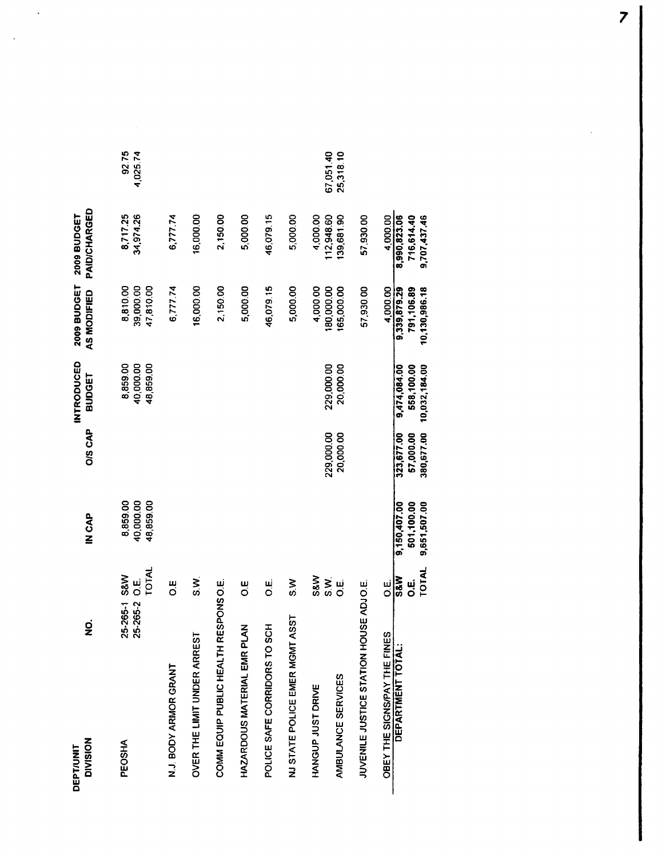| z<br><b>ZOISIVIS</b><br><b>DEPT/UNIT</b> | ø                                      | IN CAP                             | <b>O/S CAP</b>          | <b>INTRODUCED</b><br><b>BUDGET</b> | 2009 BUDGET<br>AS MODIFIED         | PAID/CHARGED<br>2009 BUDGET |                        |
|------------------------------------------|----------------------------------------|------------------------------------|-------------------------|------------------------------------|------------------------------------|-----------------------------|------------------------|
| <b>PEOSHA</b>                            | TOTAL<br>25-265-1 S&W<br>25-265-2 O.E. | 8,859.00<br>40,000.00<br>48,859.00 |                         | 8,859.00<br>48,859.00<br>40,000.00 | 8,810.00<br>39,000.00<br>47,810.00 | 8,717.25<br>34,974.26       | 92.75<br>4,025.74      |
| N.J. BODY ARMOR GRANT                    | u.                                     |                                    |                         |                                    | 6,777.74                           | 6,777.74                    |                        |
| OVER THE LIMIT UNDER ARREST              | ર્<br>ડે                               |                                    |                         |                                    | 16,000.00                          | 16,000.00                   |                        |
| COMM EQUIP PUBLIC HEALTH RESPONS O.E.    |                                        |                                    |                         |                                    | 2,150.00                           | 2,150.00                    |                        |
| HAZARDOUS MATERIAL EMR PLAN              | u<br>O                                 |                                    |                         |                                    | 5,000.00                           | 5,000.00                    |                        |
| POLICE SAFE CORRIDORS TO SCH             | 병                                      |                                    |                         |                                    | 46,079.15                          | 46,079.15                   |                        |
| NJ STATE POLICE EMER MGMT ASST           | ≥<br>≎                                 |                                    |                         |                                    | 5,000.00                           | 5,000.00                    |                        |
| HANGUP JUST DRIVE                        | S&W                                    |                                    |                         |                                    | 4,000.00                           | 4,000.00                    |                        |
| AMBULANCE SERVICES                       | S.N.<br>$\frac{1}{2}$                  |                                    | 229,000.00<br>20,000.00 | 229,000.00<br>20,000.00            | 180,000.00<br>165,000.00           | 112,948.60<br>139,681.90    | 67,051.40<br>25,318.10 |
| JUVENILE JUSTICE STATION HOUSE ADJO.E.   |                                        |                                    |                         |                                    | 57,930.00                          | 57,930.00                   |                        |
| OBEY THE SIGNS/PAY THE FINES             | ui<br>O                                |                                    |                         |                                    | 4,000.00                           | 4,000.00                    |                        |
| <b>DEPARTMENT TOTAL:</b>                 | <b>S&amp;W</b><br>ui<br>O              | 501,100.00<br>9,150,407.00         | 323,677.00<br>57,000.00 | 558,100.00<br>9,474,084.00         | 9,339,879.29<br>791,106.89         | 8,990,823.06<br>716,614.40  |                        |
|                                          | TOTAL                                  | 9,651,507.00                       | 380,677.00              | 10,032,184.00                      | 10,130,986.18                      | 9,707,437.46                |                        |

 $\ddot{\phantom{a}}$ 

 $\ddot{\phantom{a}}$ 

 $\overline{\mathbf{z}}$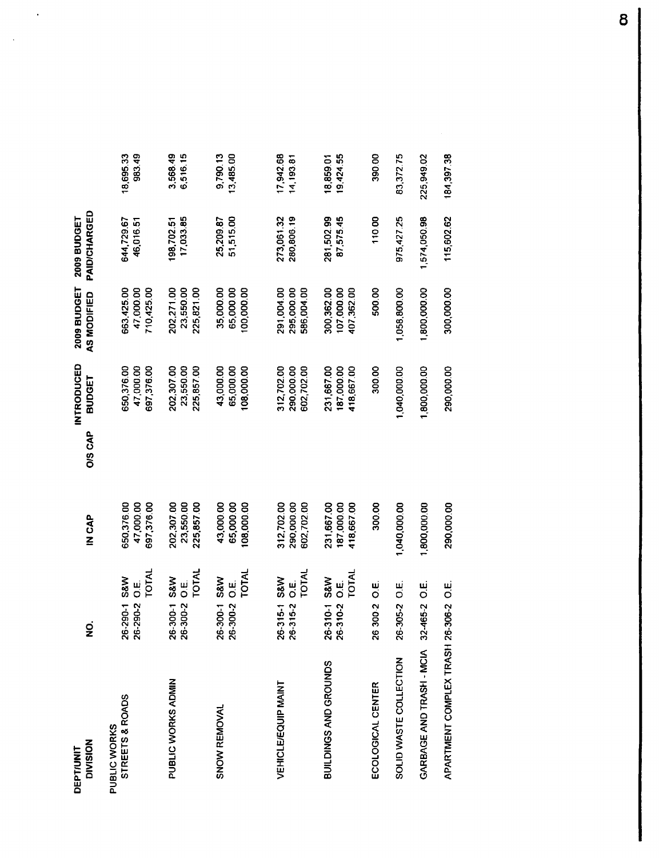| <b>DIVISION</b><br>DEPT/UNIT    | gi                                                               | <b>CAP</b>                             | O/S CAP | INTRODUCED<br><b>BUDGET</b>            | <b>2009 BUDGET</b><br>AS MODIFIED      | <b>PAID/CHARGED</b><br>2009 BUDGET |                        |
|---------------------------------|------------------------------------------------------------------|----------------------------------------|---------|----------------------------------------|----------------------------------------|------------------------------------|------------------------|
| STREETS & ROADS<br>PUBLIC WORKS | TOTAL<br><b>S&amp;M</b><br>ui<br>O<br>26-290-2<br>26-290-1       | 47.000.00<br>697,376.00<br>650,376.00  |         | 650,376.00<br>47,000.00<br>697,376.00  | 710,425.00<br>663,425.00<br>47,000.00  | 644,729.67<br>46.016.51            | 983.49<br>18,695.33    |
| PUBLIC WORKS ADMIN              | TOTAL<br>S&W<br>ښا<br>O<br>1-006-90<br>26-300-2                  | 23,550.00<br>202,307.00<br>225,857.00  |         | 202,307.00<br>23,550.00<br>225,857.00  | 202,271.00<br>23,550.00<br>225,821.00  | 17,033.85<br>198,702.51            | 3,568.49<br>6,516.15   |
| SNOW REMOVAL                    | TOTAL<br>S&W<br>ui<br>O<br>$6 - 300 - 1$<br>26-300-2             | 43,000.00<br>65,000.00<br>108,000.00   |         | 65,000.00<br>43,000.00<br>108,000.00   | 35,000.00<br>65,000.00<br>100,000.00   | 51,515.00<br>25,209.87             | 9,790.13<br>13,485.00  |
| <b>VEHICLE/EQUIP MAINT</b>      | TOTAL<br><b>S&amp;W</b><br>ىن<br>Ö<br>26-315-2<br>$26 - 315 - 1$ | 312,702.00<br>290,000,00<br>602,702.00 |         | 312,702.00<br>290,000.00<br>602,702.00 | 291,004.00<br>295,000.00<br>586,004.00 | 273,061.32<br>280,806.19           | 17,942.68<br>14,193.81 |
| BUILDINGS AND GROUNDS           | TOTAL<br>6-310-1 S&W<br>نيا<br>O<br>26-310-2                     | 231,667.00<br>187,000.00<br>418,667.00 |         | 231,667.00<br>187,000.00<br>418,667.00 | 107,000.00<br>300,362.00<br>407,362.00 | 281,502.99<br>87,575.45            | 19,424.55<br>18,859.01 |
| ECOLOGICAL CENTER               | ui<br>O<br>63002                                                 | 300.00                                 |         | 300.00                                 | 500.00                                 | 110.00                             | 390.00                 |
| SOLID WASTE COLLECTION          | 6-305-2 O.E.                                                     | 1,040,000.00                           |         | 1,040,000.00                           | 1,058,800.00                           | 975.427.25                         | 83,372.75              |
| GARBAGE AND TRASH - MCIA        | نیا<br>O<br>32-465-2                                             | 1,800,000.00                           |         | 1,800,000.00                           | 1,800,000.00                           | 1,574,050.98                       | 225,949.02             |
| APARTMENT COMPLEX TRASH 2       | 6-306-2 O.E.                                                     | 290,000.00                             |         | 290,000.00                             | 300,000.00                             | 115.602.62                         | 184,397.38             |

 $\sim$   $\sim$ 

 $\sim 10$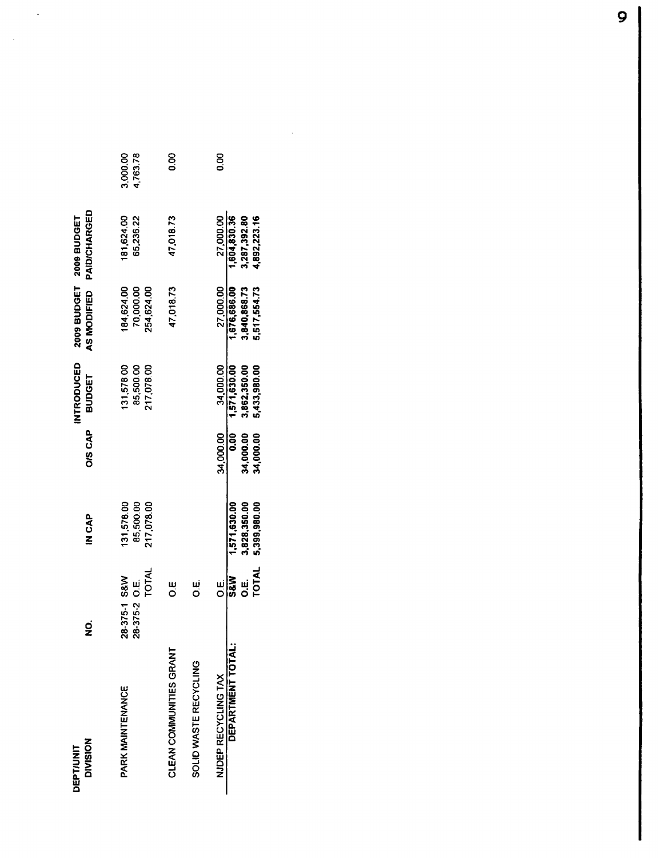| <b>DIVISION</b><br><b>DEPT/UNIT</b> | g<br>Z                                        | IN CAP                                | <b>OIS CAP</b>         | <b>INTRODUCED</b><br><b>BUDGET</b>    | 2009 BUDGET<br>AS MODIFIED            | PAID/CHARGED<br>2009 BUDGET  |                      |
|-------------------------------------|-----------------------------------------------|---------------------------------------|------------------------|---------------------------------------|---------------------------------------|------------------------------|----------------------|
| PARK MAINTENANCE                    | <b>TOTAL</b><br>18-375-1 S&W<br>28-375-2 O.E. | 217,078.00<br>85,500.00<br>131,578.00 |                        | 131,578.00<br>217,078.00<br>85,500.00 | 184,624.00<br>70,000.00<br>254,624.00 | 181,624.00<br>65,236.22      | 3,000.00<br>1,763.78 |
| CLEAN COMMUNITIES GRANT             | ш<br>О                                        |                                       |                        |                                       | 47.018.73                             | 47,018.73                    | 80                   |
| SOLID WASTE RECYCLING               | نيا<br>O                                      |                                       |                        |                                       |                                       |                              |                      |
| NJDEP RECYCLING TAX                 | ui<br>O                                       |                                       | 34,000.00              | 34,000.00                             | 27,000.00                             | 27,000.00                    | 0.00                 |
| DEPARTMENT TOTAL:                   | <b>S&amp;N</b>                                | 1,571,630.00                          | 8.00                   | 1,571,630.00                          | 1,676,686.00                          | 1,604,830.36                 |                      |
|                                     | TOTAL<br>ม<br>อี                              | 3,828,350.00<br>5,399,980.00          | 34,000.00<br>34,000.00 | 3,862,350.00<br>5,433,980.00          | 5,517,554.73<br>3,840,868.73          | 3,287,392.80<br>4,892,223.16 |                      |

 $\mathcal{L}^{\text{max}}_{\text{max}}$  , where  $\mathcal{L}^{\text{max}}_{\text{max}}$ 

 $\sim$   $\sim$ 

 $\sim$   $\sim$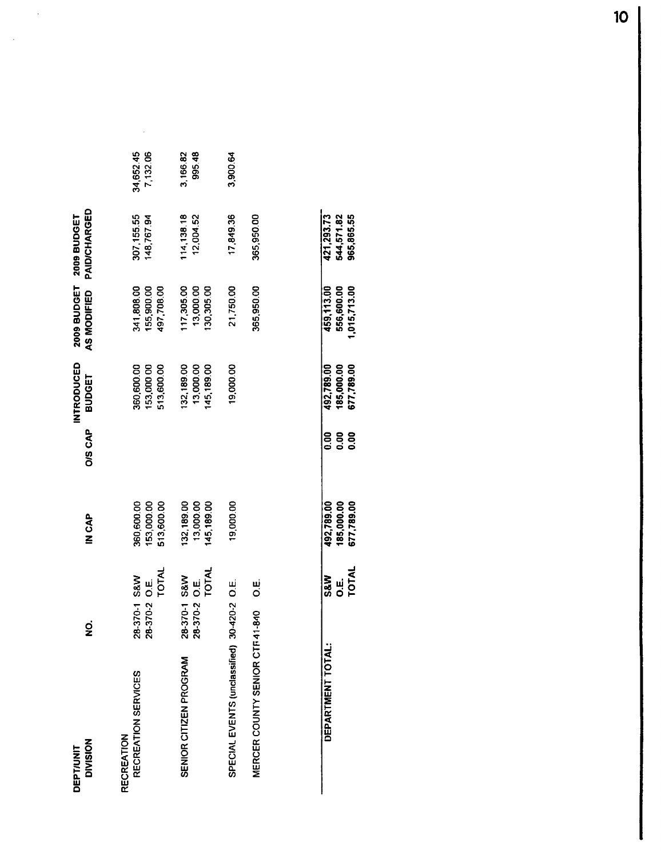| <b>DIVISION</b><br><b>DEPT/UNIT</b>         | g                                    | IN CAP                                 | O/S CAP | <b>INTRODUCED</b><br><b>BUDGET</b>     | 2009 BUDGET<br>AS MODIFIED             | <b>PAID/CHARGED</b><br>2009 BUDGET |                       |
|---------------------------------------------|--------------------------------------|----------------------------------------|---------|----------------------------------------|----------------------------------------|------------------------------------|-----------------------|
| RECREATION SERVICES<br>RECREATION           | TOTAL<br>8-370-1 S&W<br>8-370-2 O.E. | 153,000.00<br>360,600.00<br>513,600.00 |         | 360,600.00<br>153,000.00<br>513,600.00 | 341,808.00<br>155,900.00<br>497,708.00 | 307,155.55<br>148,767.94           | 34,652.45<br>7,132.06 |
| SENIOR CITIZEN PROGRAM                      | TOTAL<br>8-370-1 S&W<br>8-370-2 O.E. | 13,000.00<br>132,189.00<br>145,189.00  |         | 13,000.00<br>132,189.00<br>45,189.00   | 117,305.00<br>13,000.00<br>130,305.00  | 114, 138. 18<br>12,004.52          | 3,166.82<br>995.48    |
| SPECIAL EVENTS (unclassified) 30-420-2 O.E. |                                      | 19,000.00                              |         | 19,000.00                              | 21,750.00                              | 17,849.36                          | 3,900.64              |
| MERCER COUNTY SENIOR CTF41-840              | ښا<br>C                              |                                        |         |                                        | 365,950.00                             | 365,950.00                         |                       |
|                                             |                                      |                                        |         |                                        |                                        |                                    |                       |

 $\sim$   $\sim$ 

 $\bar{\beta}$ 

 $\mathcal{L}_{\text{eff}}$ 

| 21,293.7   | 544,571.82<br>965,865.55               |              |
|------------|----------------------------------------|--------------|
| 159,113.00 | 556,600.00<br>.015,713.00              |              |
| 92,789.01  | <b>185,000.00</b><br>677,789.00        |              |
|            | 0.00                                   |              |
|            | 492,789.00<br>185,000.00<br>677,789.00 |              |
| Š&W        | نبا<br>آ                               | <b>TOTAL</b> |
|            |                                        |              |

 $10<sub>o</sub>$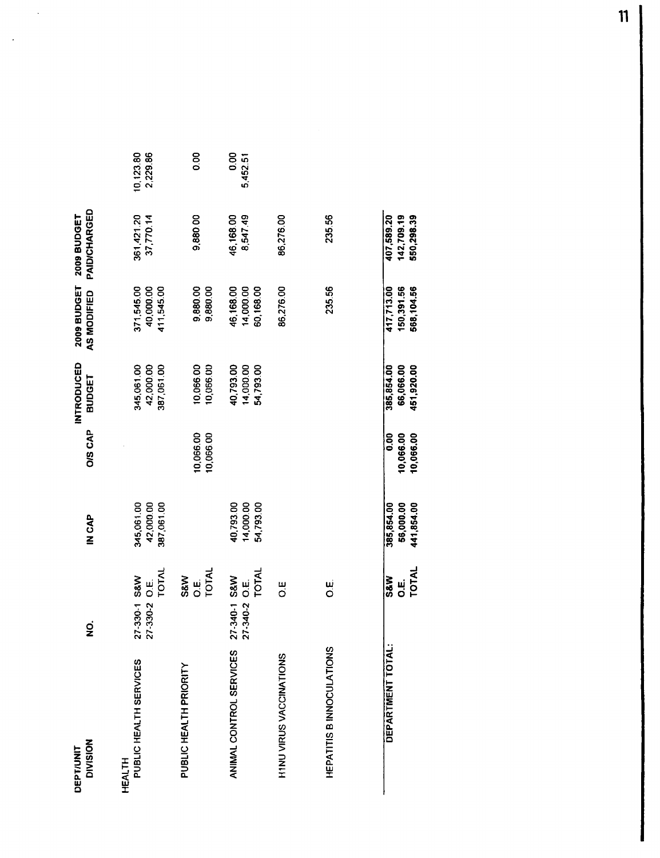| <b>DIVISION</b><br><b>DEPT/UNIT</b>     | g                                                   | IN CAP                                | <b>OIS CAP</b>                 | <b>INTRODUCED</b><br><b>BUDGET</b>    | 2009 BUDGET<br>AS MODIFIED             | PAID/CHARGED<br><b>2009 BUDGET</b>     |                       |
|-----------------------------------------|-----------------------------------------------------|---------------------------------------|--------------------------------|---------------------------------------|----------------------------------------|----------------------------------------|-----------------------|
| PUBLIC HEALTH SERVICES<br><b>HEALTH</b> | TOTAL<br>27-330-1 S&W<br>ui<br>O<br>27-330-2        | 345,061.00<br>42,000.00<br>387,061.00 |                                | 387,061.00<br>345,061.00<br>42,000.00 | 371,545.00<br>40,000.00<br>411,545.00  | 361,421.20<br>37,770.14                | 10,123.80<br>2,229.86 |
| PUBLIC HEALTH PRIORITY                  | TOTAL<br>S&W<br>انا<br>O                            |                                       | 10,066.00<br>10,066.00         | 10,066.00<br>10,066.00                | 9,880.00<br>9,880.00                   | 9,880.00                               | 0.00                  |
| ANIMAL CONTROL SERVICES                 | <b>TOTAL</b><br>27-340-1 S&W<br>ui<br>O<br>27-340-2 | 40,793.00<br>14,000.00<br>54,793.00   |                                | 54,793.00<br>40,793.00<br>14,000.00   | 14,000.00<br>60,168.00<br>46,168.00    | 46,168.00<br>8,547.49                  | 0.00<br>5,452.51      |
| H1NU VIRUS VACCINATIONS                 | Ш<br>О                                              |                                       |                                |                                       | 86,276.00                              | 86,276.00                              |                       |
| HEPATITIS B INNOCULATIONS               | نیا<br>O                                            |                                       |                                |                                       | 235.56                                 | 235.56                                 |                       |
| DEPARTMENT TOTAL:                       | TOTAL<br><b>S&amp;W</b><br>ui<br>O                  | 56,000.00<br>441,854.00<br>385,854.00 | 0.00<br>10,066.00<br>10,066.00 | 451,920.00<br>385,854.00<br>66,066.00 | 150,391.56<br>568,104.56<br>417,713.00 | 407,589.20<br>142,709.19<br>550,298.39 |                       |

 $\ddot{\phantom{a}}$ 

 $\ddot{\phantom{a}}$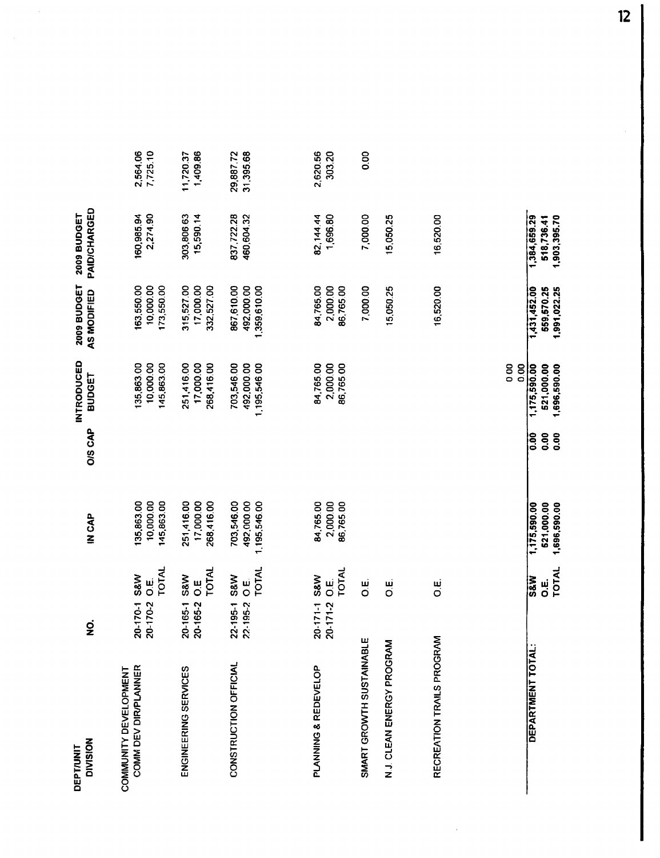| <b>DIVISION</b><br>DEPT/UNIT                  | g                                                                            | IN CAP                                     | <b>O/S CAP</b>                | INTRODUCED<br><b>BUDGET</b>                | 2009 BUDGET<br>AS MODIFIED                 | PAID/CHARGED<br>2009 BUDGET                |                       |
|-----------------------------------------------|------------------------------------------------------------------------------|--------------------------------------------|-------------------------------|--------------------------------------------|--------------------------------------------|--------------------------------------------|-----------------------|
| COMM DEV DIR/PLANNER<br>COMMUNITY DEVELOPMENT | TOTAL<br>S&W<br>نا<br>Ö<br>20-170-1<br>20-170-2                              | 135,863.00<br>10,000.00<br>145,863.00      |                               | 135,863.00<br>10,000.00<br>145,863.00      | 10,000.00<br>173,550.00<br>163,550.00      | 2,274.90<br>160,985.94                     | 7,725.10<br>2,564.06  |
| ENGINEERING SERVICES                          | TOTAL<br>S&W<br>Ш<br>О<br>20-165-2<br>20-165-1                               | 251,416.00<br>17,000.00<br>268,416.00      |                               | 251,416.00<br>17,000.00<br>268,416.00      | 315,527.00<br>17,000.00<br>332,527.00      | 303,806.63<br>15,590.14                    | 1,409.86<br>11,720.37 |
| CONSTRUCTION OFFICIAL                         | <b>TOTAL</b><br><b>S&amp;W</b><br>$\frac{1}{\alpha}$<br>22-195-1<br>22-195-2 | 703,546.00<br>492,000.00<br>1,195,546.00   |                               | 703,546.00<br>1,195,546.00<br>492,000.00   | 1,359,610.00<br>867,610.00<br>492,000.00   | 837,722.28<br>460,604.32                   | 29,88772<br>31,395.68 |
| PLANNING & REDEVELOP                          | TOTAL<br>S&W<br>نیا<br>O<br>20-171-1<br>20-171-2                             | 84,765.00<br>2,000.00<br>86,765.00         |                               | 84,765.00<br>86,765.00<br>2,000.00         | 84,765.00<br>2,000.00<br>86,765.00         | 1,696.80<br>82,144.44                      | 2,620.56<br>303.20    |
| SMART GROWTH SUSTAINABLE                      | نیا<br>O                                                                     |                                            |                               |                                            | 7,000.00                                   | 7,000.00                                   | 0.00                  |
| N J. CLEAN ENERGY PROGRAM                     | نیا<br>O                                                                     |                                            |                               |                                            | 15,050.25                                  | 15,050.25                                  |                       |
| RECREATION TRAILS PROGRAM                     | ші<br>О                                                                      |                                            |                               |                                            | 16,520.00                                  | 16,520.00                                  |                       |
|                                               |                                                                              |                                            |                               | 0.00<br>0.00                               |                                            |                                            |                       |
| DEPARTMENT TOTAL:                             | <b>TOTAL</b><br>$\overline{\text{ss}}$<br>ښا<br>O                            | 521,000.00<br>1,696,590.00<br>1,175,590.00 | $\frac{8}{2}$<br>80.0<br>0.00 | 1,175,590.00<br>1,696,590.00<br>521,000.00 | 1,431,452.00<br>559,570.25<br>1,991,022.25 | 1,384,659.29<br>1,903,395.70<br>518,736.41 |                       |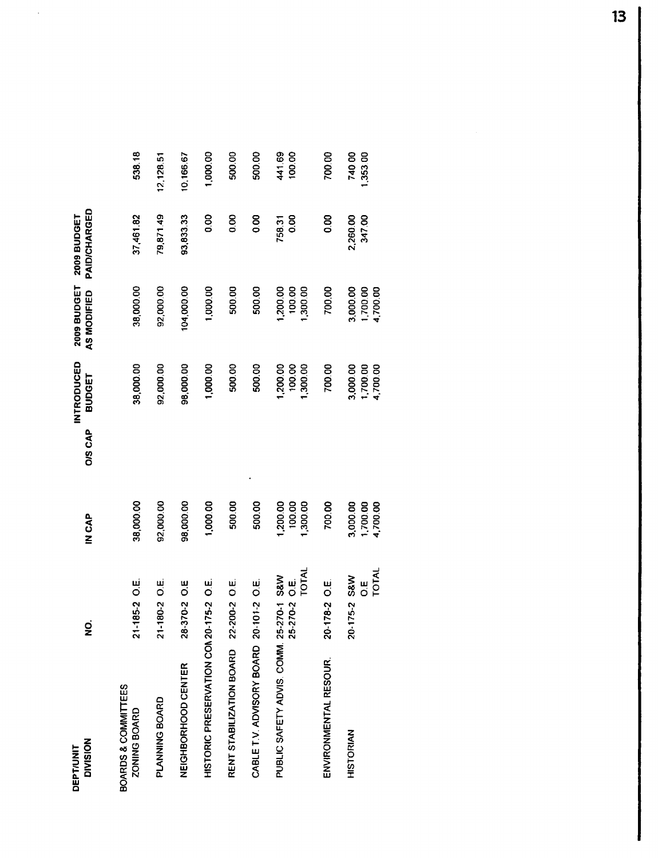| <b>DIVISION</b><br><b>DEPT/UNIT</b>     | gi                              | IN CAP                           | INTRODUCED<br><b>BUDGET</b><br><b>O/S CAP</b> | 2009 BUDGET<br>AS MODIFIED       | PAID/CHARGED<br>2009 BUDGET |                    |
|-----------------------------------------|---------------------------------|----------------------------------|-----------------------------------------------|----------------------------------|-----------------------------|--------------------|
| BOARDS & COMMITTEES<br>ZONING BOARD     | 21-185-2 O.E.                   | 38,000.00                        | 38,000.00                                     | 38,000.00                        | 37,461.82                   | 538.18             |
| PLANNING BOARD                          | $1-180-2$ O.E.<br>స             | 92,000.00                        | 92,000.00                                     | 92,000.00                        | 79,871.49                   | 12,128.51          |
| NEIGHBORHOOD CENTER                     | 28-370-2 O.E                    | 98,000.00                        | 98,000.00                                     | 104,000.00                       | 93,833.33                   | 10,166.67          |
| HISTORIC PRESERVATION COM 20-175-2 O.E. |                                 | 1,000.00                         | 1,000.00                                      | 1,000.00                         | 0.00                        | 1,000.00           |
| RENT STABILIZATION BOARD 22-200-2 O.E.  |                                 | 500.00                           | 500.00                                        | 500.00                           | 0.00                        | 500.00             |
| CABLET V. ADVISORY BOARD 20-101-2 O.E.  |                                 | 500.00                           | 500.00                                        | 500.00                           | 0.00                        | 500.00             |
| PUBLIC SAFETY ADVIS. COMM. 25-270-1 S&W | TOTAL<br>ui<br>O<br>25-270-2    | 1,200.00<br>100.00<br>1,300.00   | 1,200.00<br>100.00<br>1,300.00                | 1,200.00<br>100.00<br>1,300.00   | 0.00<br>758.31              | 441.69<br>100.00   |
| ENVIRONMENTAL RESOUR.                   | 20-178-2 O.E.                   | 700.00                           | 700.00                                        | 700.00                           | 80                          | 700.00             |
| <b>HISTORIAN</b>                        | TOTAL<br>20-175-2 S&W<br>Ш<br>О | 3,000.00<br>1,700.00<br>4,700.00 | 3,000.00<br>1,700.00<br>4,700.00              | 3,000.00<br>1,700.00<br>4,700.00 | 2,260.00<br>347.00          | 740.00<br>1,353.00 |

 $\hat{\mathcal{A}}$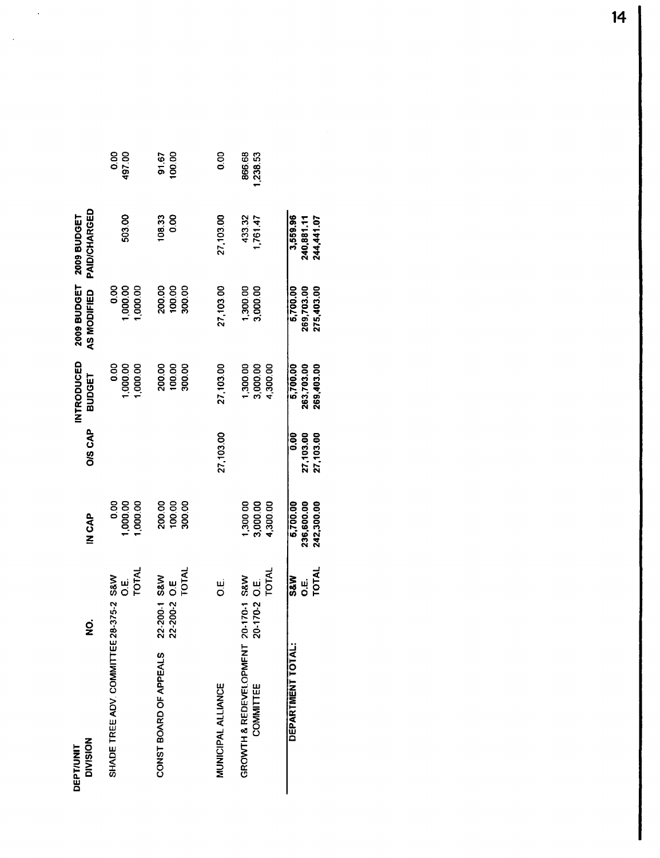| <b>DIVISION</b><br><b>DEPT/UNIT</b>        | g                                             | dAC<br>N<br>CAP                      | O/S CAP                        | INTRODUCED<br>BUDGET                 | 2009 BUDGET<br>AS MODIFIED           | PAID/CHARGED<br><b>2009 BUDGET</b>   |                   |
|--------------------------------------------|-----------------------------------------------|--------------------------------------|--------------------------------|--------------------------------------|--------------------------------------|--------------------------------------|-------------------|
| SHADE TREE ADV. COMMITTEE 28-375-2 S&W     | TOTAL<br>نيا<br>Ö                             | <b>0.00</b><br>1,000.00<br>1,000.00  |                                | <b>0.00</b><br>1,000.00<br>1,000.00  | 1,000.00<br>0.00<br>1,000.00         | 503.00                               | 0.00<br>497.00    |
| CONST BOARD OF APPEALS                     | TOTAL<br>2-200-1 S&W<br>2-200-2 O.E           | 100.00<br>200.00<br>300.00           |                                | 200.00<br>100.00<br>300.00           | 200.00<br>100.00<br>300.00           | 0.00<br>108.33                       | 100.00<br>91.67   |
| MUNICIPAL ALLIANCE                         | نيا<br>O                                      |                                      | 27,103.00                      | 27,103.00                            | 27,103.00                            | 27,103.00                            | 80                |
| GROWTH & REDEVELOPMENT<br><b>COMMITTEE</b> | TOTAL<br>20-170-1 S&W<br>ui<br>O<br>$0.170-2$ | 1,300 00<br>3,000.00<br>4,300.00     |                                | 1,300.00<br>4,300.00<br>3,000.00     | 1,300.00<br>3,000.00                 | 433.32<br>1,761.47                   | 866.68<br>,238.53 |
| DEPARTMENT TOTAL:                          | <b>TOTAL</b><br><b>S&amp;W</b><br>ui<br>O     | 5,700.00<br>236,600.00<br>242,300.00 | 0.00<br>27,103.00<br>27,103.00 | 5,700.00<br>263,703.00<br>269,403.00 | 5,700.00<br>269,703.00<br>275,403.00 | 3,559.96<br>244,441.07<br>240,881.11 |                   |

 $\sim$   $\sim$ 

 $\sim 10$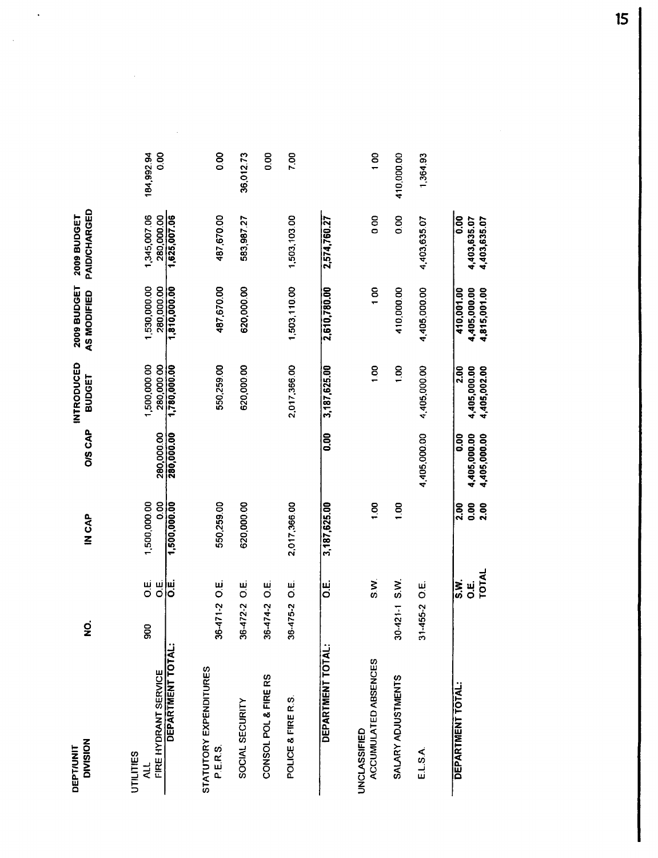| <b>DIVISION</b><br><b>DEPT/UNIT</b>                 | ġ                                                              | IN CAP                      | <b>O/S CAP</b>                       | <b>INTRODUCED</b><br>BUDGET          | 2009 BUDGET<br>AS MODIFIED                 | PAID/CHARGED<br><b>2009 BUDGET</b>   |                    |
|-----------------------------------------------------|----------------------------------------------------------------|-----------------------------|--------------------------------------|--------------------------------------|--------------------------------------------|--------------------------------------|--------------------|
| FIRE HYDRANT SERVICE<br>UTILITIES<br>$\overline{a}$ | $\begin{array}{c} \mathbf{u} \\ \mathbf{0} \end{array}$<br>900 | 1,500,000.00<br>0.00        | 280,000.00                           | 1,500,000.00<br>280,000.00           | 1,530,000.00<br>280,000.00                 | 1,345,007.06<br>280,000.00           | 0.00<br>184,992.94 |
| DEPARTMENT TOTAL:                                   | ש∣<br>ס                                                        | 1,500,000.00                | 280,000.00                           | 1,780,000.00                         | 1,810,000.00                               | 1,625,007.06                         |                    |
| STATUTORY EXPENDITURES<br>P.E.R.S.                  | 36-471-2 O.E.                                                  | 550,259.00                  |                                      | 550,259.00                           | 487,670.00                                 | 487,670.00                           | $\frac{8}{2}$      |
| SOCIAL SECURITY                                     | ui<br>O<br>$36 - 472 - 2$                                      | 620,000.00                  |                                      | 620,000.00                           | 620,000.00                                 | 583,987.27                           | 36,012.73          |
| CONSOL POL & FIRE RS                                | نيا<br>O<br>36-474-2                                           |                             |                                      |                                      |                                            |                                      | 8.00               |
| POLICE & FIRE R.S.                                  | ښ<br>O<br>36-475-2                                             | 2,017,366.00                |                                      | 2,017,366.00                         | 1,503,110.00                               | 1,503,103.00                         | 7.00               |
| DEPARTMENT TOTAL:                                   | نيا<br>O                                                       | 3,187,625.00                | 0.00                                 | 3,187,625.00                         | 2,610,780.00                               | 2,574,760.27                         |                    |
| ACCUMULATED ABSENCES<br>UNCLASSIFIED                | S.V.                                                           | $\frac{6}{1}$               |                                      | 1,00                                 | 100                                        | $\frac{8}{2}$                        | 100                |
| SALARY ADJUSTMENTS                                  | S.W.<br>$30 - 421 - 1$                                         | $\frac{8}{100}$             |                                      | $\frac{5}{2}$                        | 410,000.00                                 | 0.00                                 | 410,000.00         |
| E.L.S.A.                                            | ښا<br>O<br>$-455-2$<br>5                                       |                             | 4,405,000.00                         | 4,405,000.00                         | 4,405,000.00                               | 4,403,635.07                         | 1,364.93           |
| DEPARTMENT TOTAL:                                   | TOTAL<br>S.K<br>ui<br>O                                        | 2.00<br><b>2.00</b><br>0.00 | 0.00<br>4,405,000.00<br>4,405,000.00 | 2.00<br>4,405,000.00<br>4,405,002.00 | 4,405,000.00<br>4,815,001.00<br>410,001.00 | 0.00<br>4,403,635.07<br>4,403,635.07 |                    |

 $\mathbb{R}^2$ 

 $\mathcal{A}$ 

 $\frac{1}{\sqrt{2}}$ 

15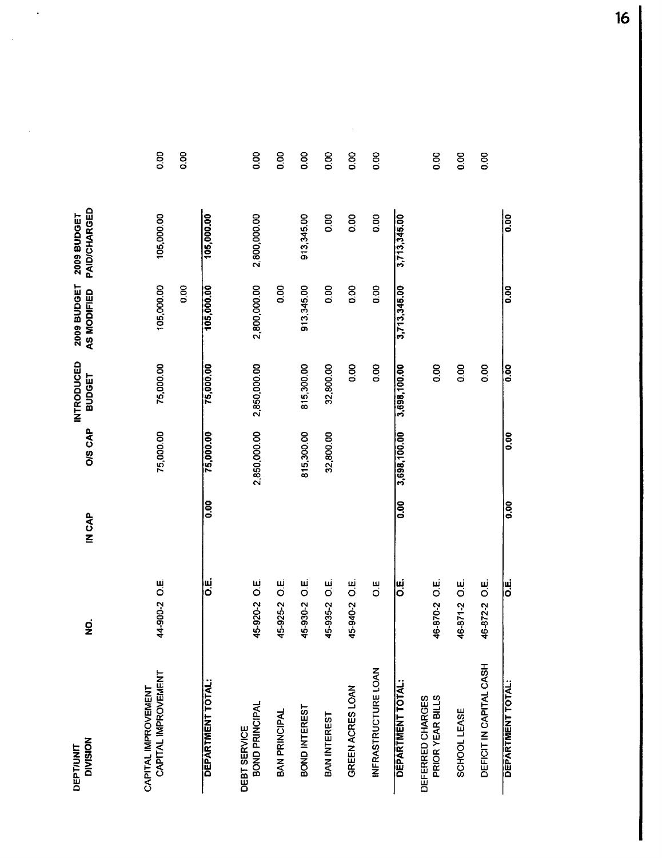| <b>DIVISION</b><br><b>DEPT/UNIT</b>  | g                    | <b>IN CAP</b> | <b>O/S CAP</b>    | <b>INTRODUCED</b><br><b>BUDGET</b> | 2009 BUDGET<br>AS MODIFIED | PAID/CHARGED<br><b>2009 BUDGET</b> |               |
|--------------------------------------|----------------------|---------------|-------------------|------------------------------------|----------------------------|------------------------------------|---------------|
| CAPITAL IMPROVEMENT                  |                      |               |                   |                                    |                            |                                    |               |
| CAPITAL IMPROVEMENT                  | 14-900-2 O.E.        |               | 75,000.00         | 75,000.00                          | 105,000.00                 | 105,000.00                         | 0.00          |
|                                      |                      |               |                   |                                    | 0.00                       |                                    | 0.00          |
| DEPARTMENT TOTAL:                    | ш<br>О               | 0.00          | 75,000.00         | 75,000.00                          | 105,000.00                 | 105,000.00                         |               |
| BOND PRINCIPAL<br>DEBT SERVICE       | 15-920-2 O.E.        |               | 2,850,000.00      | 2,850,000.00                       | 2,800,000.00               | 2,800,000.00                       | 0.00          |
| BAN PRINCIPAL                        | ui<br>O<br>5-925-2   |               |                   |                                    | 0.00                       |                                    | 0.00          |
| BOND INTEREST                        | نیا<br>O<br>15-930-2 |               | 815,300.00        | 815,300.00                         | 913,345.00                 | 913,345.00                         | $\frac{8}{2}$ |
| BAN INTEREST                         | نیا<br>O<br>15-935-2 |               | 32,800.00         | 32,800.00                          | 0.00                       | 8.00                               | $\frac{8}{2}$ |
| GREEN ACRES LOAN                     | <u>ین</u><br>5-940-2 |               |                   | 0.00                               | 0.00                       | 0.00                               | 8.0           |
| INFRASTRUCTURE LOAN                  | U.                   |               |                   | 0.00                               | 0.00                       | 0.00                               | 0.00          |
| <b>DEPARTMENT TOTAL:</b>             | نا<br>O              | 0.00          | 3,698,100.00      | 3,698,100.00                       | 3,713,345.00               | 3,713,345.00                       |               |
| PRIOR YEAR BILLS<br>DEFERRED CHARGES | 6-870-2 O.E.         |               |                   | 0.00                               |                            |                                    | 80            |
| SCHOOL LEASE                         | نیا<br>O<br>6-871-2  |               |                   | 0.00                               |                            |                                    | 0.00          |
| DEFICIT IN CAPITAL CASH              | ui<br>O<br>6-872-2   |               |                   | 0.00                               |                            |                                    | 0.00          |
| <b>DEPARTMENT TOTAL:</b>             | ײַ<br> ס             | ခြ            | $\overline{0.00}$ | $\frac{1}{0.00}$                   | $\overline{0.00}$          | $\overline{0.00}$                  |               |

 $\sim$ 

 $\ddot{\phantom{a}}$ 

16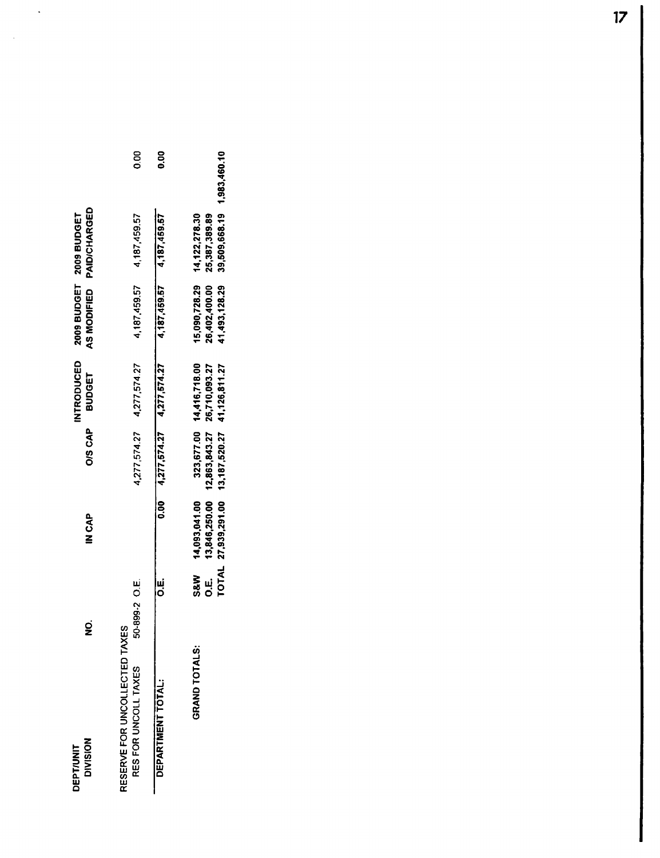| <b>DIVISION</b><br><b>DEPT/UNIT</b>                   | g                        | <b>AP<br/>NONE</b>                                               | <b>O/S CAP</b>                            | <b>INTRODUCED</b><br><b>BUDGET</b> | AS MODIFIED   | PAID/CHARGED<br>2009 BUDGET 2009 BUDGET                   |      |
|-------------------------------------------------------|--------------------------|------------------------------------------------------------------|-------------------------------------------|------------------------------------|---------------|-----------------------------------------------------------|------|
| RESERVE FOR UNCOLLECTED TAXES<br>RES FOR UNCOLL TAXES | iO-899-2 O.E.            |                                                                  |                                           | $4,277,574.27$ $4,277,574.27$      | 4,187,459.57  | 4,187,459.57                                              | 80   |
| DEPARTMENT TOTAL:                                     | ۳<br>م                   |                                                                  | $0.00$ $4.277.574.27$ $4.277.574.27$      |                                    |               | 4,187,459.57 4,187,459.57                                 | 0.00 |
| <b>GRAND TOTALS:</b>                                  | <b>S&amp;W</b><br>ن<br>Ö | TOTAL 27,939,291.00 13,187,520.27 41,126,811.27<br>14,093,041.00 | 13,846,250.00 12,863,843.27 26,710,093.27 | 323,677.00 14,416,718.00           | 41,493,128.29 | 39,509,668.19 1,983,460.10<br>26,402,400.00 25,387,389.89 |      |

 $\ddot{\phantom{0}}$ 

 $\hat{\boldsymbol{\beta}}$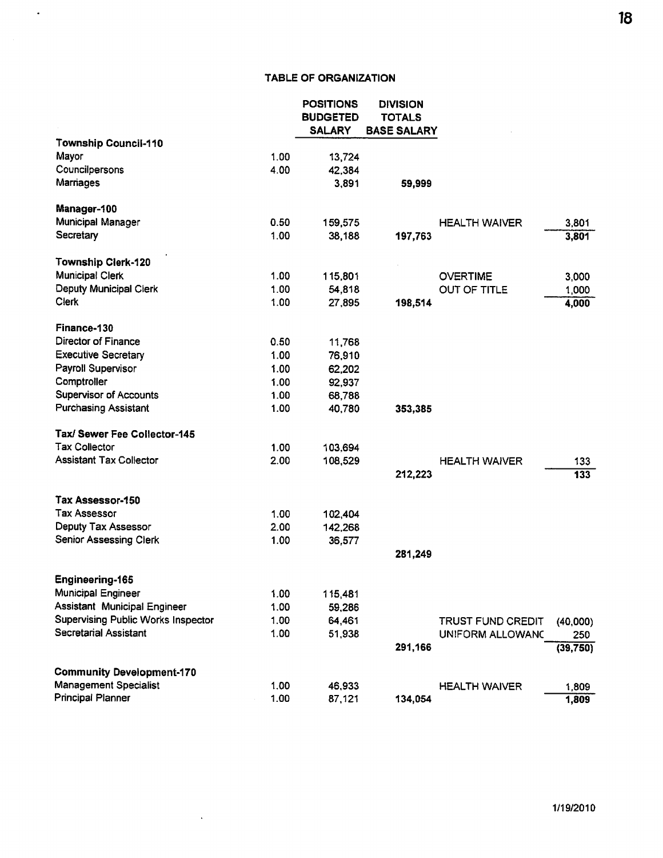### **TABLE OF ORGANIZATION**

 $\hat{\mathcal{A}}$ 

|                                           |      | <b>POSITIONS</b><br><b>BUDGETED</b><br><b>SALARY</b> | <b>DIVISION</b><br><b>TOTALS</b><br><b>BASE SALARY</b> |                      |           |
|-------------------------------------------|------|------------------------------------------------------|--------------------------------------------------------|----------------------|-----------|
| <b>Township Council-110</b>               |      |                                                      |                                                        |                      |           |
| Mayor                                     | 1.00 | 13,724                                               |                                                        |                      |           |
| Councilpersons                            | 4.00 | 42,384                                               |                                                        |                      |           |
| Marriages                                 |      | 3,891                                                | 59,999                                                 |                      |           |
| Manager-100                               |      |                                                      |                                                        |                      |           |
| Municipal Manager                         | 0.50 | 159,575                                              |                                                        | <b>HEALTH WAIVER</b> | 3,801     |
| Secretary                                 | 1.00 | 38,188                                               | 197,763                                                |                      | 3,801     |
| <b>Township Clerk-120</b>                 |      |                                                      |                                                        |                      |           |
| <b>Municipal Clerk</b>                    | 1.00 | 115,801                                              |                                                        | <b>OVERTIME</b>      | 3,000     |
| Deputy Municipal Clerk                    | 1.00 | 54,818                                               |                                                        | <b>OUT OF TITLE</b>  | 1,000     |
| Clerk                                     | 1.00 | 27,895                                               | 198,514                                                |                      | 4,000     |
| Finance-130                               |      |                                                      |                                                        |                      |           |
| Director of Finance                       | 0.50 | 11,768                                               |                                                        |                      |           |
| <b>Executive Secretary</b>                | 1.00 | 76,910                                               |                                                        |                      |           |
| Payroll Supervisor                        | 1.00 | 62,202                                               |                                                        |                      |           |
| Comptroller                               | 1.00 | 92,937                                               |                                                        |                      |           |
| <b>Supervisor of Accounts</b>             | 1.00 | 68,788                                               |                                                        |                      |           |
| <b>Purchasing Assistant</b>               | 1.00 | 40,780                                               | 353,385                                                |                      |           |
| Tax/ Sewer Fee Collector-145              |      |                                                      |                                                        |                      |           |
| <b>Tax Collector</b>                      | 1.00 | 103,694                                              |                                                        |                      |           |
| <b>Assistant Tax Collector</b>            | 2.00 | 108,529                                              |                                                        | <b>HEALTH WAIVER</b> | 133       |
|                                           |      |                                                      | 212,223                                                |                      | 133       |
| Tax Assessor-150                          |      |                                                      |                                                        |                      |           |
| <b>Tax Assessor</b>                       | 1.00 | 102,404                                              |                                                        |                      |           |
| Deputy Tax Assessor                       | 2.00 | 142,268                                              |                                                        |                      |           |
| Senior Assessing Clerk                    | 1.00 | 36,577                                               |                                                        |                      |           |
|                                           |      |                                                      | 281,249                                                |                      |           |
| <b>Engineering-165</b>                    |      |                                                      |                                                        |                      |           |
| <b>Municipal Engineer</b>                 | 1.00 | 115,481                                              |                                                        |                      |           |
| Assistant Municipal Engineer              | 1.00 | 59,286                                               |                                                        |                      |           |
| <b>Supervising Public Works Inspector</b> | 1.00 | 64,461                                               |                                                        | TRUST FUND CREDIT    | (40,000)  |
| <b>Secretarial Assistant</b>              | 1.00 | 51,938                                               |                                                        | UNIFORM ALLOWANC     | 250       |
|                                           |      |                                                      | 291,166                                                |                      | (39, 750) |
| <b>Community Development-170</b>          |      |                                                      |                                                        |                      |           |
| <b>Management Specialist</b>              | 1.00 | 46,933                                               |                                                        | <b>HEALTH WAIVER</b> | 1,809     |
| Principal Planner                         | 1.00 | 87,121                                               | 134,054                                                |                      | 1,809     |

 $\sim 10^{-10}$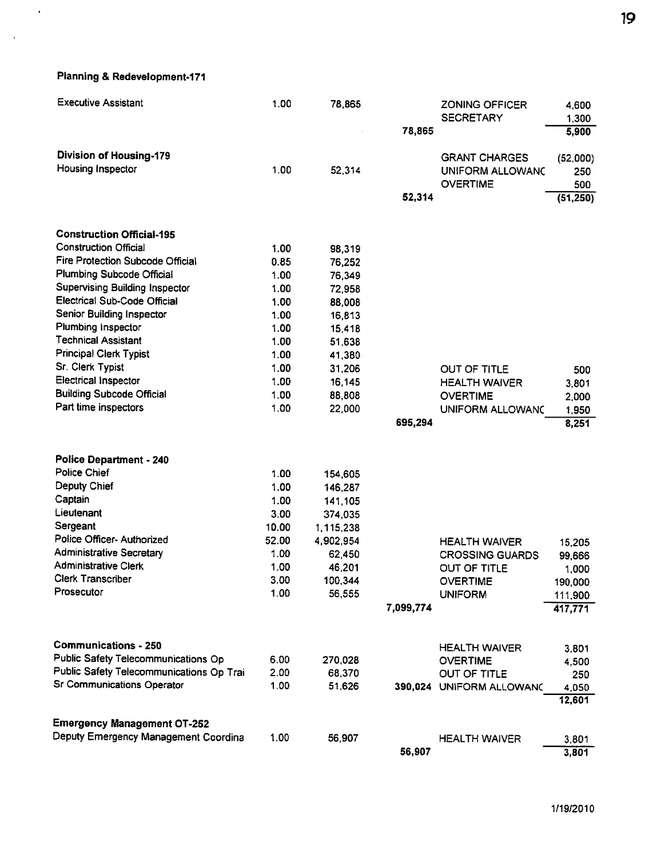Planning & Redevelopment-171

 $\mathcal{A}$ 

 $\sim$   $\sim$ 

| <b>Executive Assistant</b>               | 1.00  | 78,865    |           | ZONING OFFICER<br><b>SECRETARY</b>  | 4,600<br>1,300 |
|------------------------------------------|-------|-----------|-----------|-------------------------------------|----------------|
|                                          |       |           | 78,865    |                                     | 5,900          |
| <b>Division of Housing-179</b>           |       |           |           | <b>GRANT CHARGES</b>                | (52,000)       |
| Housing Inspector                        | 1.00  | 52,314    |           | UNIFORM ALLOWANG<br><b>OVERTIME</b> | 250<br>500     |
|                                          |       |           | 52,314    |                                     | (51, 250)      |
| <b>Construction Official-195</b>         |       |           |           |                                     |                |
| <b>Construction Official</b>             | 1.00  | 98,319    |           |                                     |                |
| Fire Protection Subcode Official         | 0.85  | 76,252    |           |                                     |                |
| Plumbing Subcode Official                | 1.00  | 76,349    |           |                                     |                |
| Supervising Building Inspector           | 1.00  | 72,958    |           |                                     |                |
| Electrical Sub-Code Official             | 1.00  | 88,008    |           |                                     |                |
| Senior Building Inspector                | 1.00  | 16,813    |           |                                     |                |
| Plumbing Inspector                       | 1.00  | 15,418    |           |                                     |                |
| <b>Technical Assistant</b>               | 1.00  | 51,638    |           |                                     |                |
| <b>Principal Clerk Typist</b>            | 1.00  | 41,380    |           |                                     |                |
| Sr. Clerk Typist                         | 1.00  | 31,206    |           | OUT OF TITLE                        | 500            |
| <b>Electrical Inspector</b>              | 1.00  | 16,145    |           | <b>HEALTH WAIVER</b>                | 3,801          |
| <b>Building Subcode Official</b>         | 1.00  | 88,808    |           | <b>OVERTIME</b>                     | 2,000          |
| Part time inspectors                     | 1.00  | 22,000    |           | UNIFORM ALLOWANC                    | 1,950          |
|                                          |       |           | 695,294   |                                     | 8,251          |
| <b>Police Department - 240</b>           |       |           |           |                                     |                |
| <b>Police Chief</b>                      | 1.00  | 154,605   |           |                                     |                |
| Deputy Chief                             | 1.00  | 146,287   |           |                                     |                |
| Captain                                  | 1.00  | 141,105   |           |                                     |                |
| Lieutenant                               | 3.00  | 374,035   |           |                                     |                |
| Sergeant                                 | 10.00 | 1,115,238 |           |                                     |                |
| Police Officer- Authorized               | 52.00 | 4,902,954 |           | <b>HEALTH WAIVER</b>                | 15,205         |
| <b>Administrative Secretary</b>          | 1.00  | 62,450    |           | <b>CROSSING GUARDS</b>              | 99,666         |
| <b>Administrative Clerk</b>              | 1.00  | 46,201    |           | OUT OF TITLE                        | 1,000          |
| <b>Clerk Transcriber</b>                 | 3.00  | 100.344   |           | <b>OVERTIME</b>                     | 190,000        |
| Prosecutor                               | 1.00  | 56,555    |           | <b>UNIFORM</b>                      | 111,900        |
|                                          |       |           | 7,099,774 |                                     | 417,771        |
| <b>Communications - 250</b>              |       |           |           | <b>HEALTH WAIVER</b>                | 3,801          |
| Public Safety Telecommunications Op      | 6.00  | 270,028   |           | <b>OVERTIME</b>                     | 4,500          |
| Public Safety Telecommunications Op Trai | 2.00  | 68,370    |           | OUT OF TITLE                        | 250            |
| Sr Communications Operator               | 1.00  | 51,626    |           | 390,024 UNIFORM ALLOWANC            | 4,050          |
|                                          |       |           |           |                                     | 12,601         |
| Emergency Management OT-252              |       |           |           |                                     |                |
| Deputy Emergency Management Coordina     | 1.00  | 56,907    |           | <b>HEALTH WAIVER</b>                | 3,801          |
|                                          |       |           | 56,907    |                                     | 3,801          |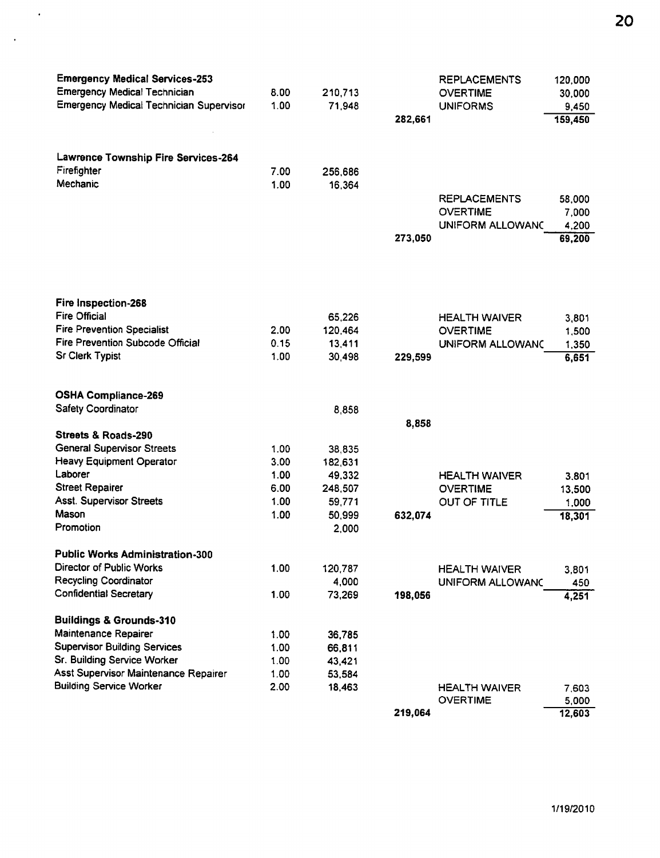| <b>Emergency Medical Services-253</b>          |      |         |         | <b>REPLACEMENTS</b>     | 120,000 |
|------------------------------------------------|------|---------|---------|-------------------------|---------|
| <b>Emergency Medical Technician</b>            | 8.00 | 210,713 |         | <b>OVERTIME</b>         | 30,000  |
| <b>Emergency Medical Technician Supervisor</b> | 1.00 | 71,948  |         | <b>UNIFORMS</b>         | 9,450   |
|                                                |      |         | 282,661 |                         | 159,450 |
|                                                |      |         |         |                         |         |
|                                                |      |         |         |                         |         |
| Lawrence Township Fire Services-264            |      |         |         |                         |         |
| Firefighter                                    | 7.00 | 256,686 |         |                         |         |
| Mechanic                                       | 1.00 | 16,364  |         |                         |         |
|                                                |      |         |         | <b>REPLACEMENTS</b>     | 58,000  |
|                                                |      |         |         | <b>OVERTIME</b>         | 7,000   |
|                                                |      |         |         | UNIFORM ALLOWANC        | 4,200   |
|                                                |      |         | 273,050 |                         | 69,200  |
|                                                |      |         |         |                         |         |
|                                                |      |         |         |                         |         |
|                                                |      |         |         |                         |         |
| Fire Inspection-268                            |      |         |         |                         |         |
| <b>Fire Official</b>                           |      | 65,226  |         | <b>HEALTH WAIVER</b>    | 3,801   |
| <b>Fire Prevention Specialist</b>              | 2.00 | 120,464 |         | <b>OVERTIME</b>         | 1,500   |
| Fire Prevention Subcode Official               | 0.15 | 13,411  |         | <b>UNIFORM ALLOWANC</b> | 1,350   |
| <b>Sr Clerk Typist</b>                         | 1.00 | 30,498  | 229,599 |                         | 6,651   |
|                                                |      |         |         |                         |         |
|                                                |      |         |         |                         |         |
| <b>OSHA Compliance-269</b>                     |      |         |         |                         |         |
| Safety Coordinator                             |      | 8,858   |         |                         |         |
|                                                |      |         | 8,858   |                         |         |
| Streets & Roads-290                            |      |         |         |                         |         |
| <b>General Supervisor Streets</b>              | 1.00 | 38,835  |         |                         |         |
| <b>Heavy Equipment Operator</b>                | 3.00 | 182,631 |         |                         |         |
| Laborer                                        | 1.00 | 49,332  |         | <b>HEALTH WAIVER</b>    | 3,801   |
| <b>Street Repairer</b>                         | 6.00 | 248,507 |         | <b>OVERTIME</b>         | 13,500  |
| <b>Asst. Supervisor Streets</b><br>Mason       | 1.00 | 59,771  |         | OUT OF TITLE            | 1,000   |
| Promotion                                      | 1.00 | 50,999  | 632,074 |                         | 18,301  |
|                                                |      | 2,000   |         |                         |         |
| <b>Public Works Administration-300</b>         |      |         |         |                         |         |
| Director of Public Works                       | 1.00 | 120,787 |         | <b>HEALTH WAIVER</b>    | 3,801   |
| <b>Recycling Coordinator</b>                   |      | 4,000   |         | UNIFORM ALLOWANC        | 450     |
| <b>Confidential Secretary</b>                  | 1.00 | 73,269  | 198,056 |                         | 4,251   |
|                                                |      |         |         |                         |         |
| <b>Buildings &amp; Grounds-310</b>             |      |         |         |                         |         |
| Maintenance Repairer                           | 1.00 | 36,785  |         |                         |         |
| <b>Supervisor Building Services</b>            | 1.00 | 66,811  |         |                         |         |
| Sr. Building Service Worker                    | 1.00 | 43,421  |         |                         |         |
| Asst Supervisor Maintenance Repairer           | 1.00 | 53,584  |         |                         |         |
| <b>Building Service Worker</b>                 | 2.00 | 18,463  |         | <b>HEALTH WAIVER</b>    | 7,603   |
|                                                |      |         |         | <b>OVERTIME</b>         | 5,000   |
|                                                |      |         | 219,064 |                         | 12,603  |

 $\sim 10^7$ 

 $\sim 10^{-10}$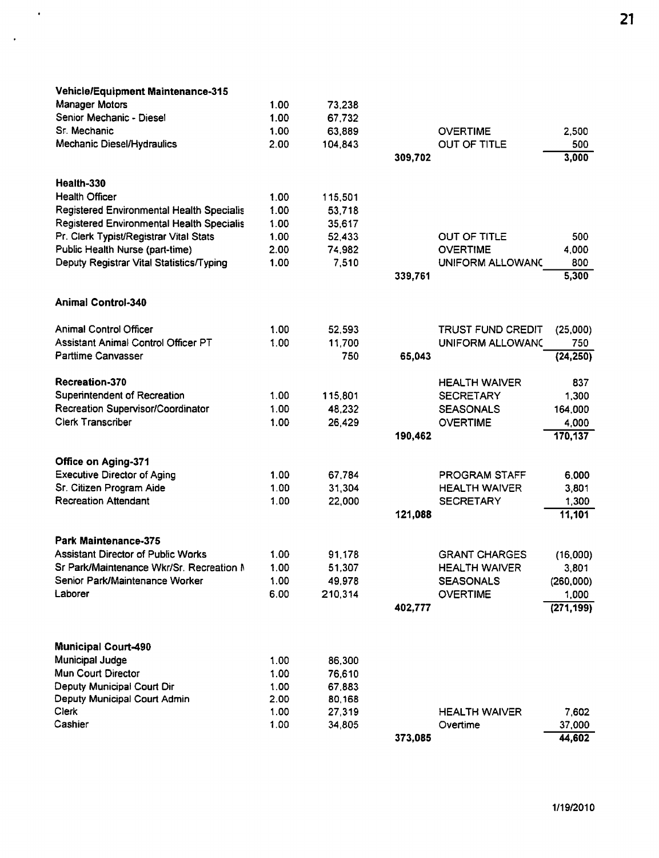| <b>Vehicle/Equipment Maintenance-315</b>  |      |         |         |                          |            |
|-------------------------------------------|------|---------|---------|--------------------------|------------|
| <b>Manager Motors</b>                     | 1.00 | 73,238  |         |                          |            |
| Senior Mechanic - Diesel                  | 1.00 | 67,732  |         |                          |            |
| Sr. Mechanic                              | 1.00 | 63,889  |         | <b>OVERTIME</b>          | 2,500      |
| Mechanic Diesel/Hydraulics                | 2.00 | 104,843 |         | <b>OUT OF TITLE</b>      | 500        |
|                                           |      |         | 309,702 |                          | 3,000      |
|                                           |      |         |         |                          |            |
| Health-330                                |      |         |         |                          |            |
| <b>Health Officer</b>                     | 1.00 | 115,501 |         |                          |            |
| Registered Environmental Health Specialis | 1.00 | 53,718  |         |                          |            |
| Registered Environmental Health Specialis | 1.00 | 35,617  |         |                          |            |
| Pr. Clerk Typist/Registrar Vital Stats    | 1.00 | 52.433  |         | OUT OF TITLE             | 500        |
| Public Health Nurse (part-time)           | 2.00 | 74,982  |         | <b>OVERTIME</b>          | 4,000      |
| Deputy Registrar Vital Statistics/Typing  | 1.00 | 7,510   |         | UNIFORM ALLOWANG         | 800        |
|                                           |      |         | 339,761 |                          | 5,300      |
| <b>Animal Control-340</b>                 |      |         |         |                          |            |
|                                           |      |         |         |                          |            |
| <b>Animal Control Officer</b>             | 1.00 | 52,593  |         | <b>TRUST FUND CREDIT</b> | (25,000)   |
| Assistant Animal Control Officer PT       | 1.00 | 11,700  |         | UNIFORM ALLOWANG         | 750        |
| <b>Parttime Canvasser</b>                 |      | 750     | 65,043  |                          | (24, 250)  |
|                                           |      |         |         |                          |            |
| <b>Recreation-370</b>                     |      |         |         | <b>HEALTH WAIVER</b>     | 837        |
| Superintendent of Recreation              | 1.00 | 115,801 |         | <b>SECRETARY</b>         | 1,300      |
| Recreation Supervisor/Coordinator         | 1.00 | 48,232  |         | <b>SEASONALS</b>         | 164,000    |
| <b>Clerk Transcriber</b>                  | 1.00 | 26,429  |         | <b>OVERTIME</b>          | 4,000      |
|                                           |      |         | 190,462 |                          | 170,137    |
| <b>Office on Aging-371</b>                |      |         |         |                          |            |
| <b>Executive Director of Aging</b>        | 1.00 | 67,784  |         | PROGRAM STAFF            | 6,000      |
| Sr. Citizen Program Aide                  | 1.00 | 31,304  |         | <b>HEALTH WAIVER</b>     | 3,801      |
| <b>Recreation Attendant</b>               | 1.00 | 22,000  |         | <b>SECRETARY</b>         | 1,300      |
|                                           |      |         | 121,088 |                          | 11,101     |
|                                           |      |         |         |                          |            |
| Park Maintenance-375                      |      |         |         |                          |            |
| <b>Assistant Director of Public Works</b> | 1.00 | 91,178  |         | <b>GRANT CHARGES</b>     | (16,000)   |
| Sr Park/Maintenance Wkr/Sr. Recreation M  | 1.00 | 51,307  |         | <b>HEALTH WAIVER</b>     | 3,801      |
| Senior Park/Maintenance Worker            | 1.00 | 49,978  |         | <b>SEASONALS</b>         | (260,000)  |
| Laborer                                   | 6.00 | 210,314 |         | <b>OVERTIME</b>          | 1,000      |
|                                           |      |         | 402,777 |                          | (271, 199) |
|                                           |      |         |         |                          |            |
| <b>Municipal Court-490</b>                |      |         |         |                          |            |
| Municipal Judge                           | 1.00 | 86,300  |         |                          |            |
| Mun Court Director                        | 1.00 | 76,610  |         |                          |            |
| Deputy Municipal Court Dir                | 1.00 | 67,883  |         |                          |            |
| Deputy Municipal Court Admin              | 2.00 | 80,168  |         |                          |            |
| Clerk                                     | 1.00 | 27,319  |         | <b>HEALTH WAIVER</b>     | 7,602      |
| Cashier                                   | 1.00 | 34,805  |         | Overtime                 | 37,000     |
|                                           |      |         | 373,085 |                          | 44,602     |

 $\sim$   $\epsilon$ 

 $\langle \cdot \rangle$